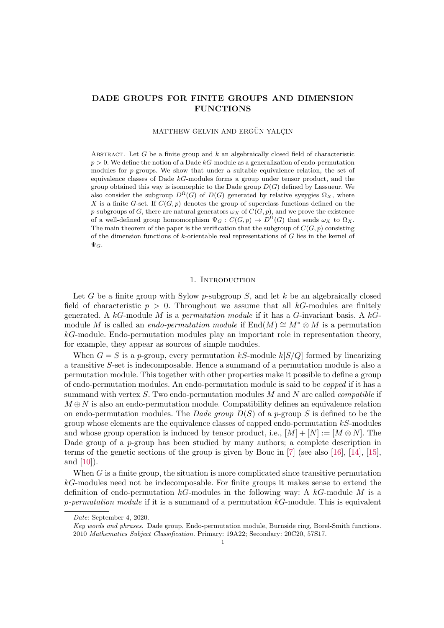# DADE GROUPS FOR FINITE GROUPS AND DIMENSION FUNCTIONS

MATTHEW GELVIN AND ERGÜN YALCIN

ABSTRACT. Let G be a finite group and  $k$  an algebraically closed field of characteristic  $p > 0$ . We define the notion of a Dade kG-module as a generalization of endo-permutation modules for  $p$ -groups. We show that under a suitable equivalence relation, the set of equivalence classes of Dade kG-modules forms a group under tensor product, and the group obtained this way is isomorphic to the Dade group  $D(G)$  defined by Lassueur. We also consider the subgroup  $D^{\Omega}(G)$  of  $D(G)$  generated by relative syzygies  $\Omega_X$ , where X is a finite G-set. If  $C(G, p)$  denotes the group of superclass functions defined on the p-subgroups of G, there are natural generators  $\omega_X$  of  $C(G, p)$ , and we prove the existence of a well-defined group homomorphism  $\Psi_G : C(G,p) \to D^{\Omega}(G)$  that sends  $\omega_X$  to  $\Omega_X$ . The main theorem of the paper is the verification that the subgroup of  $C(G, p)$  consisting of the dimension functions of  $k$ -orientable real representations of  $G$  lies in the kernel of  $\Psi_G$ .

#### 1. INTRODUCTION

<span id="page-0-0"></span>Let G be a finite group with Sylow p-subgroup  $S$ , and let k be an algebraically closed field of characteristic  $p > 0$ . Throughout we assume that all kG-modules are finitely generated. A kG-module M is a permutation module if it has a G-invariant basis. A kGmodule M is called an *endo-permutation module* if  $\text{End}(M) \cong M^* \otimes M$  is a permutation kG-module. Endo-permutation modules play an important role in representation theory, for example, they appear as sources of simple modules.

When  $G = S$  is a p-group, every permutation kS-module k[S/Q] formed by linearizing a transitive S-set is indecomposable. Hence a summand of a permutation module is also a permutation module. This together with other properties make it possible to define a group of endo-permutation modules. An endo-permutation module is said to be capped if it has a summand with vertex  $S$ . Two endo-permutation modules  $M$  and  $N$  are called *compatible* if  $M \oplus N$  is also an endo-permutation module. Compatibility defines an equivalence relation on endo-permutation modules. The *Dade group*  $D(S)$  of a *p*-group S is defined to be the group whose elements are the equivalence classes of capped endo-permutation kS-modules and whose group operation is induced by tensor product, i.e.,  $[M] + [N] := [M \otimes N]$ . The Dade group of a  $p$ -group has been studied by many authors; a complete description in terms of the genetic sections of the group is given by Bouc in [\[7\]](#page-39-0) (see also [\[16\]](#page-39-1), [\[14\]](#page-39-2), [\[15\]](#page-39-3), and [\[10\]](#page-39-4)).

When  $G$  is a finite group, the situation is more complicated since transitive permutation kG-modules need not be indecomposable. For finite groups it makes sense to extend the definition of endo-permutation  $k$ G-modules in the following way: A  $k$ G-module M is a p-permutation module if it is a summand of a permutation  $k$ -module. This is equivalent

Date: September 4, 2020.

Key words and phrases. Dade group, Endo-permutation module, Burnside ring, Borel-Smith functions. 2010 Mathematics Subject Classification. Primary: 19A22; Secondary: 20C20, 57S17.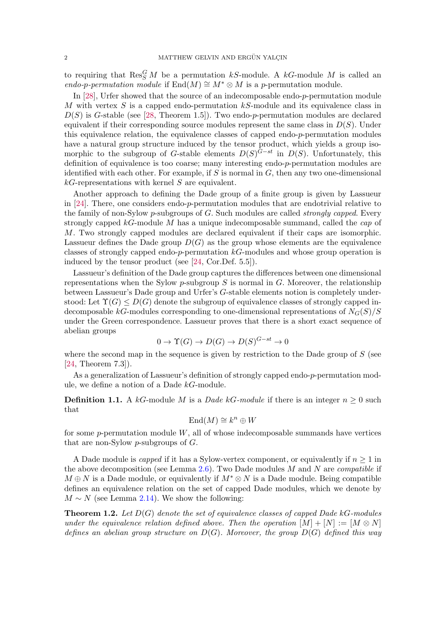to requiring that  $\operatorname{Res}_S^G M$  be a permutation kS-module. A kG-module M is called an endo-p-permutation module if  $\text{End}(M) \cong M^* \otimes M$  is a p-permutation module.

In [\[28\]](#page-39-5), Urfer showed that the source of an indecomposable endo-p-permutation module M with vertex  $S$  is a capped endo-permutation  $kS$ -module and its equivalence class in  $D(S)$  is G-stable (see [\[28,](#page-39-5) Theorem 1.5]). Two endo-p-permutation modules are declared equivalent if their corresponding source modules represent the same class in  $D(S)$ . Under this equivalence relation, the equivalence classes of capped endo-p-permutation modules have a natural group structure induced by the tensor product, which yields a group isomorphic to the subgroup of G-stable elements  $D(S)^{G-st}$  in  $D(S)$ . Unfortunately, this definition of equivalence is too coarse; many interesting endo-p-permutation modules are identified with each other. For example, if  $S$  is normal in  $G$ , then any two one-dimensional  $k$ G-representations with kernel  $S$  are equivalent.

Another approach to defining the Dade group of a finite group is given by Lassueur in [\[24\]](#page-39-6). There, one considers endo-p-permutation modules that are endotrivial relative to the family of non-Sylow p-subgroups of  $G$ . Such modules are called *strongly capped*. Every strongly capped  $k$ -module  $M$  has a unique indecomposable summand, called the  $cap$  of M. Two strongly capped modules are declared equivalent if their caps are isomorphic. Lassueur defines the Dade group  $D(G)$  as the group whose elements are the equivalence classes of strongly capped endo-p-permutation kG-modules and whose group operation is induced by the tensor product (see [\[24,](#page-39-6) Cor.Def. 5.5]).

Lassueur's definition of the Dade group captures the differences between one dimensional representations when the Sylow p-subgroup  $S$  is normal in  $G$ . Moreover, the relationship between Lassueur's Dade group and Urfer's G-stable elements notion is completely understood: Let  $\Upsilon(G) \leq D(G)$  denote the subgroup of equivalence classes of strongly capped indecomposable kG-modules corresponding to one-dimensional representations of  $N_G(S)/S$ under the Green correspondence. Lassueur proves that there is a short exact sequence of abelian groups

$$
0 \to \Upsilon(G) \to D(G) \to D(S)^{G-st} \to 0
$$

where the second map in the sequence is given by restriction to the Dade group of  $S$  (see [\[24,](#page-39-6) Theorem 7.3]).

As a generalization of Lassueur's definition of strongly capped endo-p-permutation module, we define a notion of a Dade kG-module.

<span id="page-1-1"></span>**Definition 1.1.** A kG-module M is a *Dade kG-module* if there is an integer  $n \geq 0$  such that

$$
End(M) \cong k^n \oplus W
$$

for some  $p$ -permutation module  $W$ , all of whose indecomposable summands have vertices that are non-Sylow p-subgroups of G.

A Dade module is *capped* if it has a Sylow-vertex component, or equivalently if  $n \geq 1$  in the above decomposition (see Lemma [2.6\)](#page-6-0). Two Dade modules  $M$  and  $N$  are *compatible* if  $M \oplus N$  is a Dade module, or equivalently if  $M^* \otimes N$  is a Dade module. Being compatible defines an equivalence relation on the set of capped Dade modules, which we denote by  $M \sim N$  (see Lemma [2.14\)](#page-8-0). We show the following:

<span id="page-1-0"></span>**Theorem 1.2.** Let  $D(G)$  denote the set of equivalence classes of capped Dade kG-modules under the equivalence relation defined above. Then the operation  $[M] + [N] := [M \otimes N]$ defines an abelian group structure on  $D(G)$ . Moreover, the group  $D(G)$  defined this way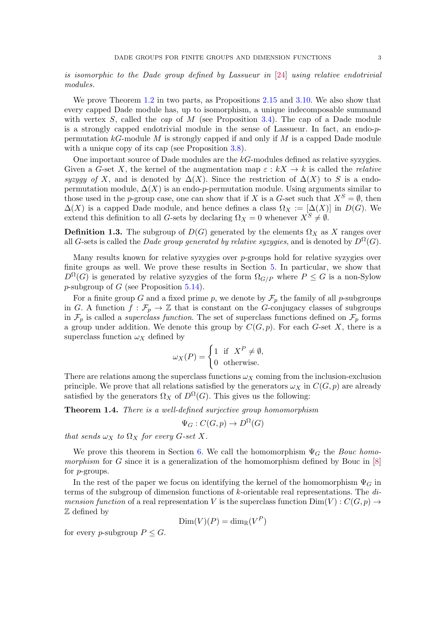is isomorphic to the Dade group defined by Lassueur in [\[24\]](#page-39-6) using relative endotrivial modules.

We prove Theorem [1.2](#page-1-0) in two parts, as Propositions [2.15](#page-8-1) and [3.10.](#page-12-0) We also show that every capped Dade module has, up to isomorphism, a unique indecomposable summand with vertex  $S$ , called the *cap* of  $M$  (see Proposition [3.4\)](#page-10-0). The cap of a Dade module is a strongly capped endotrivial module in the sense of Lassueur. In fact, an endo-ppermutation  $k\text{-}\mathcal{G}$ -module M is strongly capped if and only if M is a capped Dade module with a unique copy of its cap (see Proposition [3.8\)](#page-11-0).

One important source of Dade modules are the kG-modules defined as relative syzygies. Given a G-set X, the kernel of the augmentation map  $\varepsilon : kX \to k$  is called the *relative* syzygy of X, and is denoted by  $\Delta(X)$ . Since the restriction of  $\Delta(X)$  to S is a endopermutation module,  $\Delta(X)$  is an endo-p-permutation module. Using arguments similar to those used in the p-group case, one can show that if X is a G-set such that  $X^S = \emptyset$ , then  $\Delta(X)$  is a capped Dade module, and hence defines a class  $\Omega_X := [\Delta(X)]$  in  $D(G)$ . We extend this definition to all G-sets by declaring  $\Omega_X = 0$  whenever  $X^S \neq \emptyset$ .

**Definition 1.3.** The subgroup of  $D(G)$  generated by the elements  $\Omega_X$  as X ranges over all G-sets is called the Dade group generated by relative syzygies, and is denoted by  $D^{\Omega}(G)$ .

Many results known for relative syzygies over p-groups hold for relative syzygies over finite groups as well. We prove these results in Section [5.](#page-16-0) In particular, we show that  $D^{\Omega}(G)$  is generated by relative syzygies of the form  $\Omega_{G/P}$  where  $P \leq G$  is a non-Sylow  $p$ -subgroup of  $G$  (see Proposition [5.14\)](#page-22-0).

For a finite group G and a fixed prime p, we denote by  $\mathcal{F}_p$  the family of all p-subgroups in G. A function  $f : \mathcal{F}_p \to \mathbb{Z}$  that is constant on the G-conjugacy classes of subgroups in  $\mathcal{F}_p$  is called a *superclass function*. The set of superclass functions defined on  $\mathcal{F}_p$  forms a group under addition. We denote this group by  $C(G, p)$ . For each G-set X, there is a superclass function  $\omega_X$  defined by

$$
\omega_X(P) = \begin{cases} 1 & \text{if } X^P \neq \emptyset, \\ 0 & \text{otherwise.} \end{cases}
$$

There are relations among the superclass functions  $\omega_X$  coming from the inclusion-exclusion principle. We prove that all relations satisfied by the generators  $\omega_X$  in  $C(G, p)$  are already satisfied by the generators  $\Omega_X$  of  $D^{\Omega}(G)$ . This gives us the following:

<span id="page-2-0"></span>Theorem 1.4. There is a well-defined surjective group homomorphism

$$
\Psi_G : C(G, p) \to D^{\Omega}(G)
$$

that sends  $\omega_X$  to  $\Omega_X$  for every G-set X.

We prove this theorem in Section [6.](#page-23-0) We call the homomorphism  $\Psi_G$  the *Bouc homo*morphism for G since it is a generalization of the homomorphism defined by Bouc in  $[8]$ for p-groups.

In the rest of the paper we focus on identifying the kernel of the homomorphism  $\Psi_G$  in terms of the subgroup of dimension functions of k-orientable real representations. The dimension function of a real representation V is the superclass function  $\text{Dim}(V) : C(G, p) \rightarrow$ Z defined by

$$
\text{Dim}(V)(P) = \text{dim}_{\mathbb{R}}(V^P)
$$

for every *p*-subgroup  $P \leq G$ .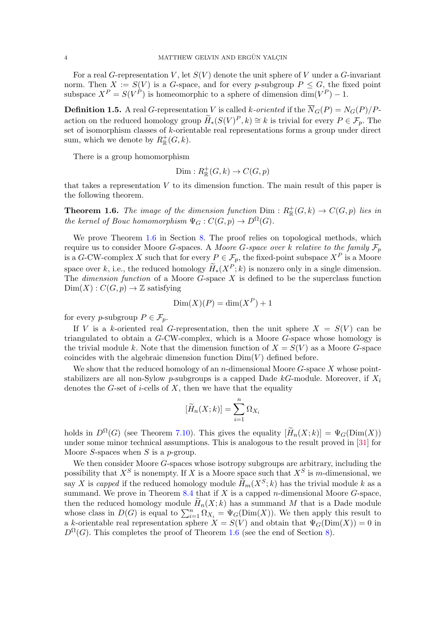For a real G-representation V, let  $S(V)$  denote the unit sphere of V under a G-invariant norm. Then  $X := S(V)$  is a G-space, and for every p-subgroup  $P \leq G$ , the fixed point subspace  $X^P = S(V^P)$  is homeomorphic to a sphere of dimension  $\dim(V^P) - 1$ .

<span id="page-3-1"></span>**Definition 1.5.** A real G-representation V is called k-oriented if the  $\overline{N}_G(P) = N_G(P)/P$ action on the reduced homology group  $\widetilde{H}_*(S(V)^P, k) \cong k$  is trivial for every  $P \in \mathcal{F}_p$ . The set of isomorphism classes of k-orientable real representations forms a group under direct sum, which we denote by  $R_{\mathbb{R}}^+(G, k)$ .

There is a group homomorphism

$$
\text{Dim}: R^+_{\mathbb{R}}(G,k) \to C(G,p)
$$

that takes a representation  $V$  to its dimension function. The main result of this paper is the following theorem.

<span id="page-3-0"></span>**Theorem 1.6.** The image of the dimension function  $\text{Dim} : R^+_{\mathbb{R}}(G,k) \to C(G,p)$  lies in the kernel of Bouc homomorphism  $\Psi_G : C(G,p) \to D^{\Omega}(G)$ .

We prove Theorem [1.6](#page-3-0) in Section [8.](#page-31-0) The proof relies on topological methods, which require us to consider Moore G-spaces. A Moore G-space over k relative to the family  $\mathcal{F}_p$ is a G-CW-complex X such that for every  $P \in \mathcal{F}_p$ , the fixed-point subspace  $X^P$  is a Moore space over k, i.e., the reduced homology  $\widetilde{H}_*(X^P; k)$  is nonzero only in a single dimension. The *dimension function* of a Moore  $G$ -space  $X$  is defined to be the superclass function  $Dim(X): C(G, p) \to \mathbb{Z}$  satisfying

$$
\text{Dim}(X)(P) = \dim(X^P) + 1
$$

for every p-subgroup  $P \in \mathcal{F}_p$ .

If V is a k-oriented real G-representation, then the unit sphere  $X = S(V)$  can be triangulated to obtain a G-CW-complex, which is a Moore G-space whose homology is the trivial module k. Note that the dimension function of  $X = S(V)$  as a Moore G-space coincides with the algebraic dimension function  $Dim(V)$  defined before.

We show that the reduced homology of an  $n$ -dimensional Moore  $G$ -space X whose pointstabilizers are all non-Sylow p-subgroups is a capped Dade  $kG$ -module. Moreover, if  $X_i$ denotes the  $G$ -set of *i*-cells of  $X$ , then we have that the equality

$$
[\widetilde{H}_n(X;k)] = \sum_{i=1}^n \Omega_{X_i}
$$

holds in  $D^{\Omega}(G)$  (see Theorem [7.10\)](#page-29-0). This gives the equality  $[\widetilde{H}_n(X;k)] = \Psi_G(\text{Dim}(X))$ under some minor technical assumptions. This is analogous to the result proved in [\[31\]](#page-39-8) for Moore S-spaces when  $S$  is a p-group.

We then consider Moore G-spaces whose isotropy subgroups are arbitrary, including the possibility that  $X^S$  is nonempty. If X is a Moore space such that  $X^S$  is m-dimensional, we say X is capped if the reduced homology module  $\widetilde{H}_m(X^S; k)$  has the trivial module k as a summand. We prove in Theorem [8.4](#page-33-0) that if  $X$  is a capped *n*-dimensional Moore  $G$ -space, then the reduced homology module  $\widetilde{H}_n(X; k)$  has a summand M that is a Dade module whose class in  $D(G)$  is equal to  $\sum_{i=1}^{n} \Omega_{X_i} = \Psi_G(\text{Dim}(X))$ . We then apply this result to a k-orientable real representation sphere  $X = S(V)$  and obtain that  $\Psi_G(\text{Dim}(X)) = 0$  in  $D^{\Omega}(G)$ . This completes the proof of Theorem [1.6](#page-3-0) (see the end of Section [8\)](#page-31-0).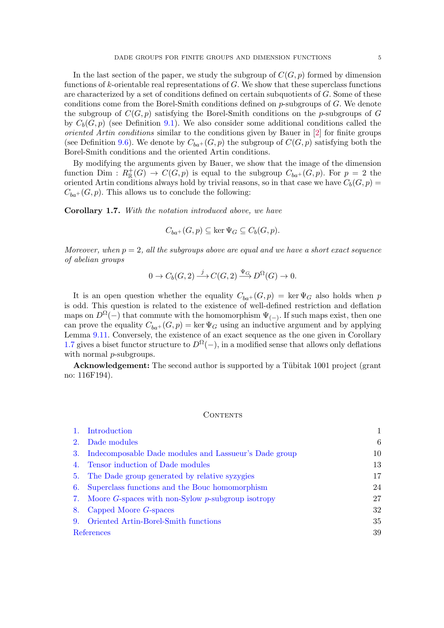In the last section of the paper, we study the subgroup of  $C(G, p)$  formed by dimension functions of k-orientable real representations of G. We show that these superclass functions are characterized by a set of conditions defined on certain subquotients of  $G$ . Some of these conditions come from the Borel-Smith conditions defined on p-subgroups of G. We denote the subgroup of  $C(G, p)$  satisfying the Borel-Smith conditions on the p-subgroups of G by  $C_b(G, p)$  (see Definition [9.1\)](#page-34-0). We also consider some additional conditions called the oriented Artin conditions similar to the conditions given by Bauer in [\[2\]](#page-38-0) for finite groups (see Definition [9.6\)](#page-36-0). We denote by  $C_{ba}$ + $(G, p)$  the subgroup of  $C(G, p)$  satisfying both the Borel-Smith conditions and the oriented Artin conditions.

By modifying the arguments given by Bauer, we show that the image of the dimension function Dim:  $R_{\mathbb{R}}^+(G) \to C(G, p)$  is equal to the subgroup  $C_{ba^+}(G, p)$ . For  $p = 2$  the oriented Artin conditions always hold by trivial reasons, so in that case we have  $C_b(G, p)$  =  $C_{ba+}(G, p)$ . This allows us to conclude the following:

<span id="page-4-0"></span>Corollary 1.7. With the notation introduced above, we have

$$
C_{ba^+}(G, p) \subseteq \ker \Psi_G \subseteq C_b(G, p).
$$

Moreover, when  $p = 2$ , all the subgroups above are equal and we have a short exact sequence of abelian groups

$$
0 \to C_b(G, 2) \xrightarrow{j} C(G, 2) \xrightarrow{\Psi_G} D^{\Omega}(G) \to 0.
$$

It is an open question whether the equality  $C_{ba+}(G, p) = \ker \Psi_G$  also holds when p is odd. This question is related to the existence of well-defined restriction and deflation maps on  $D^{\Omega}(-)$  that commute with the homomorphism  $\Psi_{(-)}$ . If such maps exist, then one can prove the equality  $C_{ba+} (G, p) = \ker \Psi_G$  using an inductive argument and by applying Lemma [9.11.](#page-38-1) Conversely, the existence of an exact sequence as the one given in Corollary [1.7](#page-4-0) gives a biset functor structure to  $D^{\Omega}(-)$ , in a modified sense that allows only deflations with normal *p*-subgroups.

Acknowledgement: The second author is supported by a Tübitak 1001 project (grant no: 116F194).

# CONTENTS

|            | Introduction                                            |    |
|------------|---------------------------------------------------------|----|
| 2.         | Dade modules                                            | 6  |
| 3.         | Indecomposable Dade modules and Lassueur's Dade group   | 10 |
| 4.         | Tensor induction of Dade modules                        | 13 |
| 5.         | The Dade group generated by relative syzygies           | 17 |
| 6.         | Superclass functions and the Bouc homomorphism          | 24 |
| 7.         | Moore $G$ -spaces with non-Sylow $p$ -subgroup isotropy | 27 |
| 8.         | Capped Moore G-spaces                                   | 32 |
| 9.         | Oriented Artin-Borel-Smith functions                    | 35 |
| References |                                                         | 39 |
|            |                                                         |    |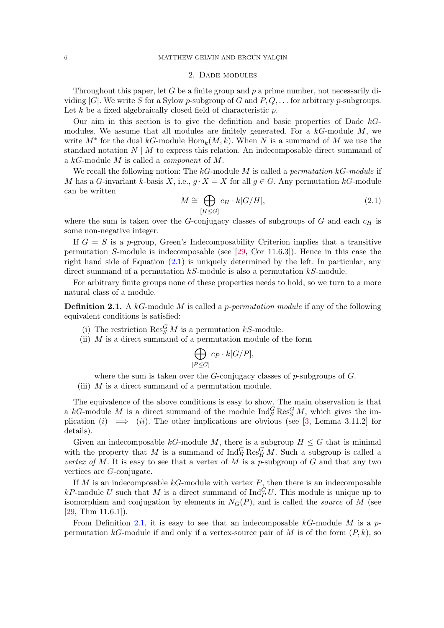#### 2. Dade modules

<span id="page-5-0"></span>Throughout this paper, let G be a finite group and  $p$  a prime number, not necessarily dividing  $|G|$ . We write S for a Sylow p-subgroup of G and  $P, Q, \ldots$  for arbitrary p-subgroups. Let  $k$  be a fixed algebraically closed field of characteristic  $p$ .

Our aim in this section is to give the definition and basic properties of Dade  $kG$ modules. We assume that all modules are finitely generated. For a  $kG$ -module M, we write  $M^*$  for the dual kG-module  $\text{Hom}_k(M, k)$ . When N is a summand of M we use the standard notation  $N \mid M$  to express this relation. An indecomposable direct summand of a kG-module M is called a component of M.

We recall the following notion: The  $kG$ -module M is called a *permutation*  $kG$ -module if M has a G-invariant k-basis X, i.e.,  $g \cdot X = X$  for all  $g \in G$ . Any permutation kG-module can be written

<span id="page-5-1"></span>
$$
M \cong \bigoplus_{[H \leq G]} c_H \cdot k[G/H],\tag{2.1}
$$

where the sum is taken over the G-conjugacy classes of subgroups of  $G$  and each  $c_H$  is some non-negative integer.

If  $G = S$  is a p-group, Green's Indecomposability Criterion implies that a transitive permutation S-module is indecomposable (see  $[29, \text{Cor } 11.6.3]$  $[29, \text{Cor } 11.6.3]$ ). Hence in this case the right hand side of Equation  $(2.1)$  is uniquely determined by the left. In particular, any direct summand of a permutation kS-module is also a permutation kS-module.

For arbitrary finite groups none of these properties needs to hold, so we turn to a more natural class of a module.

<span id="page-5-2"></span>**Definition 2.1.** A kG-module M is called a p-permutation module if any of the following equivalent conditions is satisfied:

- (i) The restriction  $\text{Res}_{S}^{G} M$  is a permutation  $kS$ -module.
- (ii)  $M$  is a direct summand of a permutation module of the form

$$
\bigoplus_{[P\leq G]} c_P \cdot k[G/P],
$$

where the sum is taken over the G-conjugacy classes of  $p$ -subgroups of  $G$ .

(iii)  $M$  is a direct summand of a permutation module.

The equivalence of the above conditions is easy to show. The main observation is that a kG-module M is a direct summand of the module  $\text{Ind}_{S}^{G} \text{Res}_{S}^{G} M$ , which gives the implication (i)  $\implies$  (ii). The other implications are obvious (see [\[3,](#page-39-10) Lemma 3.11.2] for details).

Given an indecomposable kG-module M, there is a subgroup  $H \leq G$  that is minimal with the property that M is a summand of  $\text{Ind}_{H}^{G} \text{Res}_{H}^{G} M$ . Such a subgroup is called a vertex of M. It is easy to see that a vertex of M is a p-subgroup of G and that any two vertices are G-conjugate.

If  $M$  is an indecomposable  $k$ -module with vertex  $P$ , then there is an indecomposable kP-module U such that M is a direct summand of  $\text{Ind}_{P}^{G}U$ . This module is unique up to isomorphism and conjugation by elements in  $N_G(P)$ , and is called the *source* of M (see  $[29, Thm 11.6.1]$  $[29, Thm 11.6.1]$ .

From Definition [2.1,](#page-5-2) it is easy to see that an indecomposable  $kG$ -module M is a ppermutation kG-module if and only if a vertex-source pair of M is of the form  $(P, k)$ , so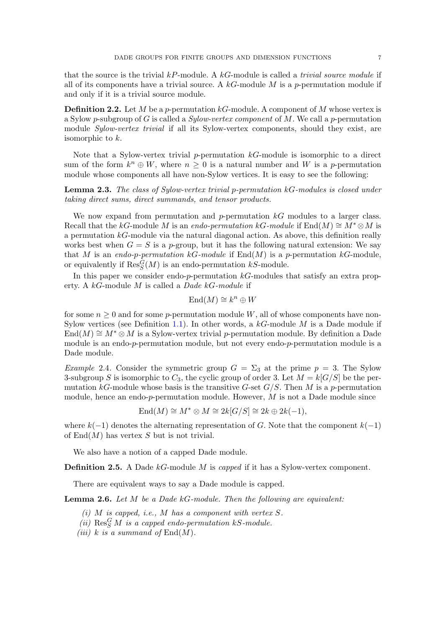that the source is the trivial  $kP$ -module. A  $kG$ -module is called a *trivial source module* if all of its components have a trivial source. A  $k$ -module M is a p-permutation module if and only if it is a trivial source module.

**Definition 2.2.** Let M be a p-permutation  $k$ -module. A component of M whose vertex is a Sylow p-subgroup of G is called a  $Sylow-vertex component$  of M. We call a p-permutation module Sylow-vertex trivial if all its Sylow-vertex components, should they exist, are isomorphic to k.

Note that a Sylow-vertex trivial p-permutation  $k$ -module is isomorphic to a direct sum of the form  $k^n \oplus W$ , where  $n \geq 0$  is a natural number and W is a p-permutation module whose components all have non-Sylow vertices. It is easy to see the following:

# Lemma 2.3. The class of Sylow-vertex trivial p-permutation kG-modules is closed under taking direct sums, direct summands, and tensor products.

We now expand from permutation and p-permutation  $k$ G modules to a larger class. Recall that the kG-module M is an endo-permutation kG-module if  $\text{End}(M) \cong M^* \otimes M$  is a permutation kG-module via the natural diagonal action. As above, this definition really works best when  $G = S$  is a p-group, but it has the following natural extension: We say that M is an endo-p-permutation kG-module if  $\text{End}(M)$  is a p-permutation kG-module, or equivalently if  $\operatorname{Res}^G_S(M)$  is an endo-permutation  $kS$ -module.

In this paper we consider endo-p-permutation  $k$ G-modules that satisfy an extra property. A  $k$ G-module M is called a *Dade*  $k$ G-module if

$$
End(M) \cong k^n \oplus W
$$

for some  $n \geq 0$  and for some p-permutation module W, all of whose components have non-Sylow vertices (see Definition [1.1\)](#page-1-1). In other words, a  $kG$ -module M is a Dade module if End(M)  $\cong M^* \otimes M$  is a Sylow-vertex trivial p-permutation module. By definition a Dade module is an endo-p-permutation module, but not every endo-p-permutation module is a Dade module.

Example 2.4. Consider the symmetric group  $G = \Sigma_3$  at the prime  $p = 3$ . The Sylow 3-subgroup S is isomorphic to  $C_3$ , the cyclic group of order 3. Let  $M = k[G/S]$  be the permutation kG-module whose basis is the transitive G-set  $G/S$ . Then M is a p-permutation module, hence an endo-p-permutation module. However,  $M$  is not a Dade module since

$$
End(M) \cong M^* \otimes M \cong 2k[G/S] \cong 2k \oplus 2k(-1),
$$

where  $k(-1)$  denotes the alternating representation of G. Note that the component  $k(-1)$ of  $End(M)$  has vertex S but is not trivial.

We also have a notion of a capped Dade module.

**Definition 2.5.** A Dade  $kG$ -module M is *capped* if it has a Sylow-vertex component.

There are equivalent ways to say a Dade module is capped.

<span id="page-6-1"></span><span id="page-6-0"></span>**Lemma 2.6.** Let  $M$  be a Dade  $kG$ -module. Then the following are equivalent:

- (i)  $M$  is capped, i.e.,  $M$  has a component with vertex  $S$ .
- <span id="page-6-2"></span>(ii)  $\text{Res}_{S}^{G} M$  is a capped endo-permutation kS-module.
- <span id="page-6-3"></span>(iii) k is a summand of  $End(M)$ .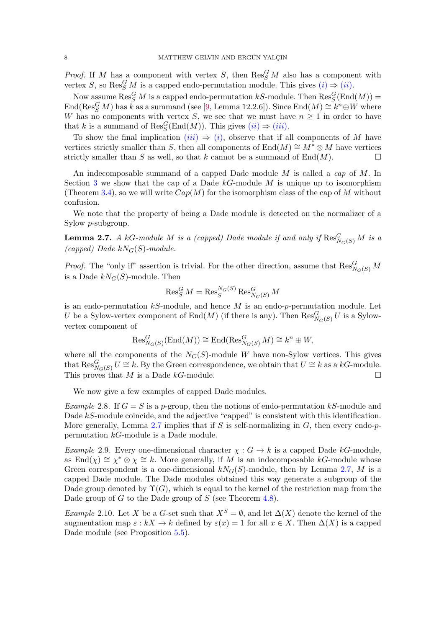*Proof.* If M has a component with vertex S, then  $\text{Res}_{S}^{G} M$  also has a component with vertex S, so  $\text{Res}_{S}^{G} M$  is a capped endo-permutation module. This gives  $(i) \Rightarrow (ii)$  $(i) \Rightarrow (ii)$  $(i) \Rightarrow (ii)$  $(i) \Rightarrow (ii)$ .

Now assume  $\operatorname{Res}^G_S M$  is a capped endo-permutation kS-module. Then  $\operatorname{Res}^G_S(\operatorname{End}(M))=$ End(Res<sup>G</sup> M) has k as a summand (see [\[9,](#page-39-11) Lemma 12.2.6]). Since End $(M) \cong k^n \oplus W$  where W has no components with vertex S, we see that we must have  $n \geq 1$  in order to have that k is a summand of  $\operatorname{Res}^G_S(\operatorname{End}(M))$ . This gives  $(ii) \Rightarrow (iii)$  $(ii) \Rightarrow (iii)$  $(ii) \Rightarrow (iii)$  $(ii) \Rightarrow (iii)$  $(ii) \Rightarrow (iii)$ .

To show the final implication  $(iii) \Rightarrow (i)$  $(iii) \Rightarrow (i)$  $(iii) \Rightarrow (i)$ , observe that if all components of M have vertices strictly smaller than S, then all components of  $\text{End}(M) \cong M^* \otimes M$  have vertices strictly smaller than S as well, so that k cannot be a summand of  $End(M)$ .

An indecomposable summand of a capped Dade module M is called a cap of M. In Section [3](#page-9-0) we show that the cap of a Dade  $kG$ -module M is unique up to isomorphism (Theorem [3.4\)](#page-10-0), so we will write  $Cap(M)$  for the isomorphism class of the cap of M without confusion.

We note that the property of being a Dade module is detected on the normalizer of a Sylow p-subgroup.

<span id="page-7-0"></span>**Lemma 2.7.** A kG-module M is a (capped) Dade module if and only if  $\text{Res}_{N_G(S)}^G M$  is a (capped) Dade  $kN_G(S)$ -module.

*Proof.* The "only if" assertion is trivial. For the other direction, assume that  $\text{Res}_{N_G(S)}^G M$ is a Dade  $kN_G(S)$ -module. Then

$$
\operatorname{Res}_S^G M = \operatorname{Res}_S^{N_G(S)} \operatorname{Res}_{N_G(S)}^G M
$$

is an endo-permutation  $kS$ -module, and hence M is an endo-p-permutation module. Let U be a Sylow-vertex component of  $\text{End}(M)$  (if there is any). Then  $\text{Res}_{N_G(S)}^G U$  is a Sylowvertex component of

$$
\text{Res}_{N_G(S)}^G(\text{End}(M)) \cong \text{End}(\text{Res}_{N_G(S)}^G M) \cong k^n \oplus W,
$$

where all the components of the  $N_G(S)$ -module W have non-Sylow vertices. This gives that  $\text{Res}_{N_G(S)}^G U \cong k$ . By the Green correspondence, we obtain that  $U \cong k$  as a kG-module. This proves that M is a Dade  $kG$ -module.

We now give a few examples of capped Dade modules.

Example 2.8. If  $G = S$  is a p-group, then the notions of endo-permutation kS-module and Dade kS-module coincide, and the adjective "capped" is consistent with this identification. More generally, Lemma [2.7](#page-7-0) implies that if S is self-normalizing in  $G$ , then every endo-ppermutation kG-module is a Dade module.

Example 2.9. Every one-dimensional character  $\chi : G \to k$  is a capped Dade kG-module, as End( $\chi$ ) ≅  $\chi^* \otimes \chi \cong k$ . More generally, if M is an indecomposable kG-module whose Green correspondent is a one-dimensional  $kN<sub>G</sub>(S)$ -module, then by Lemma [2.7,](#page-7-0) M is a capped Dade module. The Dade modules obtained this way generate a subgroup of the Dade group denoted by  $\Upsilon(G)$ , which is equal to the kernel of the restriction map from the Dade group of G to the Dade group of S (see Theorem [4.8\)](#page-16-1).

Example 2.10. Let X be a G-set such that  $X^S = \emptyset$ , and let  $\Delta(X)$  denote the kernel of the augmentation map  $\varepsilon : kX \to k$  defined by  $\varepsilon(x) = 1$  for all  $x \in X$ . Then  $\Delta(X)$  is a capped Dade module (see Proposition [5.5\)](#page-18-0).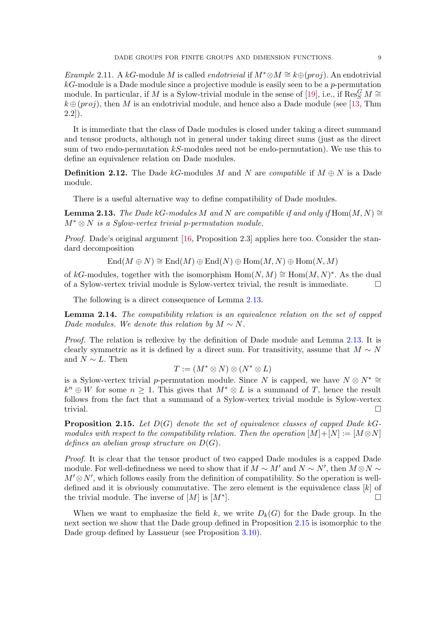Example 2.11. A kG-module M is called *endotrivial* if  $M^* \otimes M \cong k \oplus (proj)$ . An endotrivial  $k\text{G}$ -module is a Dade module since a projective module is easily seen to be a p-permutationmodule. In particular, if M is a Sylow-trivial module in the sense of [\[19\]](#page-39-12), i.e., if  $\text{Res}_{S}^{G} M \cong$  $k \oplus (proj)$ , then M is an endotrivial module, and hence also a Dade module (see [\[13,](#page-39-13) Thm 2.2]).

It is immediate that the class of Dade modules is closed under taking a direct summand and tensor products, although not in general under taking direct sums (just as the direct sum of two endo-permutation  $kS$ -modules need not be endo-permutation). We use this to define an equivalence relation on Dade modules.

**Definition 2.12.** The Dade kG-modules M and N are *compatible* if  $M \oplus N$  is a Dade module.

There is a useful alternative way to define compatibility of Dade modules.

<span id="page-8-2"></span>**Lemma 2.13.** The Dade kG-modules M and N are compatible if and only if  $Hom(M, N) \cong$  $M^* \otimes N$  is a Sylow-vertex trivial p-permutation module.

Proof. Dade's original argument [\[16,](#page-39-1) Proposition 2.3] applies here too. Consider the standard decomposition

$$
End(M \oplus N) \cong End(M) \oplus End(N) \oplus Hom(M, N) \oplus Hom(N, M)
$$

of kG-modules, together with the isomorphism  $Hom(N, M) \cong Hom(M, N)^*$ . As the dual of a Sylow-vertex trivial module is Sylow-vertex trivial, the result is immediate.  $\Box$ 

The following is a direct consequence of Lemma [2.13.](#page-8-2)

<span id="page-8-0"></span>Lemma 2.14. The compatibility relation is an equivalence relation on the set of capped Dade modules. We denote this relation by  $M \sim N$ .

Proof. The relation is reflexive by the definition of Dade module and Lemma [2.13.](#page-8-2) It is clearly symmetric as it is defined by a direct sum. For transitivity, assume that  $M \sim N$ and  $N \sim L$ . Then

$$
T := (M^* \otimes N) \otimes (N^* \otimes L)
$$

is a Sylow-vertex trivial p-permutation module. Since N is capped, we have  $N \otimes N^* \cong$  $k^{n} \oplus W$  for some  $n \geq 1$ . This gives that  $M^* \otimes L$  is a summand of T, hence the result follows from the fact that a summand of a Sylow-vertex trivial module is Sylow-vertex trivial.

<span id="page-8-1"></span>**Proposition 2.15.** Let  $D(G)$  denote the set of equivalence classes of capped Dade kGmodules with respect to the compatibility relation. Then the operation  $[M]+[N] := [M \otimes N]$ defines an abelian group structure on  $D(G)$ .

Proof. It is clear that the tensor product of two capped Dade modules is a capped Dade module. For well-definedness we need to show that if  $M \sim M'$  and  $N \sim N'$ , then  $M \otimes N \sim$  $M' \otimes N'$ , which follows easily from the definition of compatibility. So the operation is welldefined and it is obviously commutative. The zero element is the equivalence class  $[k]$  of the trivial module. The inverse of  $[M]$  is  $[M^*]$ .  $\begin{bmatrix} 1 & 1 & 1 \\ 1 & 1 & 1 \\ 1 & 1 & 1 \end{bmatrix}$ 

When we want to emphasize the field k, we write  $D_k(G)$  for the Dade group. In the next section we show that the Dade group defined in Proposition [2.15](#page-8-1) is isomorphic to the Dade group defined by Lassueur (see Proposition [3.10\)](#page-12-0).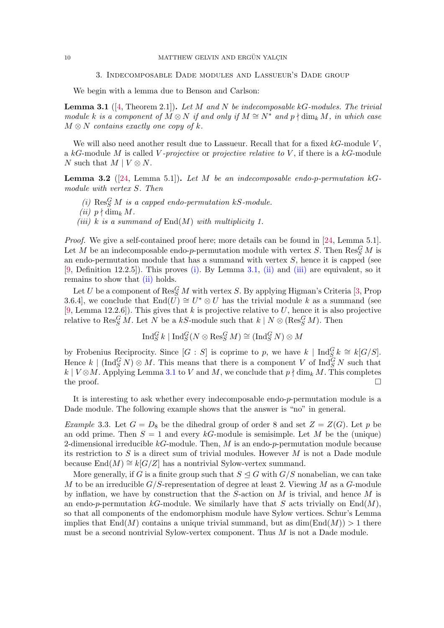3. Indecomposable Dade modules and Lassueur's Dade group

<span id="page-9-0"></span>We begin with a lemma due to Benson and Carlson:

<span id="page-9-2"></span>**Lemma 3.1** ([\[4,](#page-39-14) Theorem 2.1]). Let M and N be indecomposable kG-modules. The trivial module k is a component of  $M \otimes N$  if and only if  $M \cong N^*$  and  $p \nmid \dim_k M$ , in which case  $M \otimes N$  contains exactly one copy of k.

We will also need another result due to Lassueur. Recall that for a fixed  $kG$ -module V, a kG-module M is called V-projective or projective relative to V, if there is a  $k$ G-module N such that  $M \mid V \otimes N$ .

<span id="page-9-5"></span>**Lemma 3.2** ([\[24,](#page-39-6) Lemma 5.1]). Let M be an indecomposable endo-p-permutation  $k$ Gmodule with vertex S. Then

- <span id="page-9-1"></span>(i)  $\text{Res}_{S}^{G} M$  is a capped endo-permutation kS-module.
- <span id="page-9-3"></span>(*ii*)  $p \nmid \dim_k M$ .
- <span id="page-9-4"></span>(iii) k is a summand of  $End(M)$  with multiplicity 1.

*Proof.* We give a self-contained proof here; more details can be found in [\[24,](#page-39-6) Lemma 5.1]. Let M be an indecomposable endo-p-permutation module with vertex S. Then  $\operatorname{Res}^G_S M$  is an endo-permutation module that has a summand with vertex  $S$ , hence it is capped (see [\[9,](#page-39-11) Definition 12.2.5]). This proves [\(i\).](#page-9-1) By Lemma [3.1,](#page-9-2) [\(ii\)](#page-9-3) and [\(iii\)](#page-9-4) are equivalent, so it remains to show that [\(ii\)](#page-9-3) holds.

Let U be a component of  $\operatorname{Res}^G_S M$  with vertex S. By applying Higman's Criteria [\[3,](#page-39-10) Prop 3.6.4], we conclude that  $\text{End}(U) \cong U^* \otimes U$  has the trivial module k as a summand (see [\[9,](#page-39-11) Lemma 12.2.6]). This gives that k is projective relative to U, hence it is also projective relative to  $\operatorname{Res}_{S}^{G} M$ . Let N be a kS-module such that  $k \mid N \otimes (\operatorname{Res}_{S}^{G} M)$ . Then

$$
\operatorname{Ind}_{S}^{G} k \mid \operatorname{Ind}_{S}^{G} (N \otimes \operatorname{Res}_{S}^{G} M) \cong (\operatorname{Ind}_{S}^{G} N) \otimes M
$$

by Frobenius Reciprocity. Since  $[G : S]$  is coprime to p, we have  $k \mid \text{Ind}_{S}^{G} k \cong k[G/S].$ Hence  $k \mid (\text{Ind}_{S}^{G} N) \otimes M$ . This means that there is a component V of  $\text{Ind}_{S}^{G} N$  such that k |  $V \otimes M$ . Applying Lemma [3.1](#page-9-2) to V and M, we conclude that  $p \nmid \dim_k M$ . This completes the proof.  $\Box$ 

It is interesting to ask whether every indecomposable endo-p-permutation module is a Dade module. The following example shows that the answer is "no" in general.

Example 3.3. Let  $G = D_8$  be the dihedral group of order 8 and set  $Z = Z(G)$ . Let p be an odd prime. Then  $S = 1$  and every kG-module is semisimple. Let M be the (unique) 2-dimensional irreducible  $k$ G-module. Then,  $M$  is an endo- $p$ -permutation module because its restriction to S is a direct sum of trivial modules. However  $M$  is not a Dade module because  $\text{End}(M) \cong k[G/Z]$  has a nontrivial Sylow-vertex summand.

More generally, if G is a finite group such that  $S \trianglelefteq G$  with  $G/S$  nonabelian, we can take M to be an irreducible  $G/S$ -representation of degree at least 2. Viewing M as a G-module by inflation, we have by construction that the S-action on  $M$  is trivial, and hence  $M$  is an endo-p-permutation kG-module. We similarly have that S acts trivially on  $\text{End}(M)$ , so that all components of the endomorphism module have Sylow vertices. Schur's Lemma implies that End(M) contains a unique trivial summand, but as  $dim(End(M)) > 1$  there must be a second nontrivial Sylow-vertex component. Thus M is not a Dade module.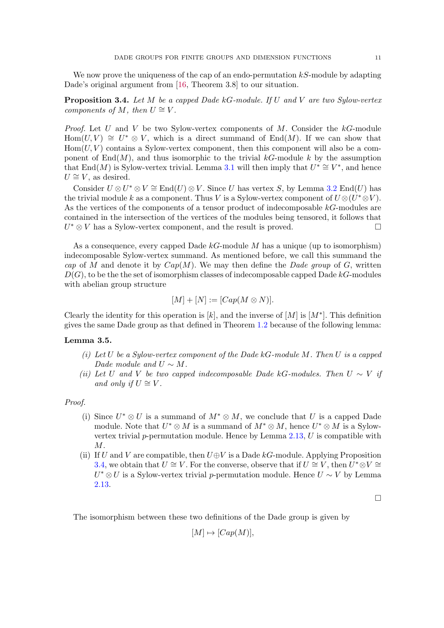We now prove the uniqueness of the cap of an endo-permutation  $kS$ -module by adapting Dade's original argument from [\[16,](#page-39-1) Theorem 3.8] to our situation.

<span id="page-10-0"></span>**Proposition 3.4.** Let M be a capped Dade kG-module. If U and V are two Sylow-vertex components of M, then  $U \cong V$ .

*Proof.* Let U and V be two Sylow-vertex components of M. Consider the  $kG$ -module  $Hom(U, V) \cong U^* \otimes V$ , which is a direct summand of End $(M)$ . If we can show that  $Hom(U, V)$  contains a Sylow-vertex component, then this component will also be a component of  $\text{End}(M)$ , and thus isomorphic to the trivial kG-module k by the assumption that End(M) is Sylow-vertex trivial. Lemma [3.1](#page-9-2) will then imply that  $U^* \cong V^*$ , and hence  $U \cong V$ , as desired.

Consider  $U \otimes U^* \otimes V \cong \text{End}(U) \otimes V$ . Since U has vertex S, by Lemma [3.2](#page-9-5) End(U) has the trivial module k as a component. Thus V is a Sylow-vertex component of  $U \otimes (U^* \otimes V)$ . As the vertices of the components of a tensor product of indecomposable  $kG$ -modules are contained in the intersection of the vertices of the modules being tensored, it follows that  $U^* \otimes V$  has a Sylow-vertex component, and the result is proved.

As a consequence, every capped Dade  $kG$ -module M has a unique (up to isomorphism) indecomposable Sylow-vertex summand. As mentioned before, we call this summand the cap of M and denote it by  $Cap(M)$ . We may then define the Dade group of G, written  $D(G)$ , to be the the set of isomorphism classes of indecomposable capped Dade kG-modules with abelian group structure

$$
[M] + [N] := [Cap(M \otimes N)].
$$

Clearly the identity for this operation is [k], and the inverse of [M] is [M<sup>\*</sup>]. This definition gives the same Dade group as that defined in Theorem [1.2](#page-1-0) because of the following lemma:

## <span id="page-10-1"></span>Lemma 3.5.

- (i) Let U be a Sylow-vertex component of the Dade  $kG$ -module M. Then U is a capped Dade module and  $U \sim M$ .
- (ii) Let U and V be two capped indecomposable Dade kG-modules. Then  $U \sim V$  if and only if  $U \cong V$ .

## Proof.

- (i) Since  $U^* \otimes U$  is a summand of  $M^* \otimes M$ , we conclude that U is a capped Dade module. Note that  $U^* \otimes M$  is a summand of  $M^* \otimes M$ , hence  $U^* \otimes M$  is a Sylowvertex trivial  $p$ -permutation module. Hence by Lemma  $2.13, U$  $2.13, U$  is compatible with  $M$ .
- (ii) If U and V are compatible, then  $U \oplus V$  is a Dade kG-module. Applying Proposition [3.4,](#page-10-0) we obtain that  $U \cong V$ . For the converse, observe that if  $U \cong V$ , then  $\hat{U}^* \otimes V \cong V$  $U^* \otimes U$  is a Sylow-vertex trivial p-permutation module. Hence  $U \sim V$  by Lemma [2.13.](#page-8-2)

 $\Box$ 

The isomorphism between these two definitions of the Dade group is given by

$$
[M] \mapsto [Cap(M)],
$$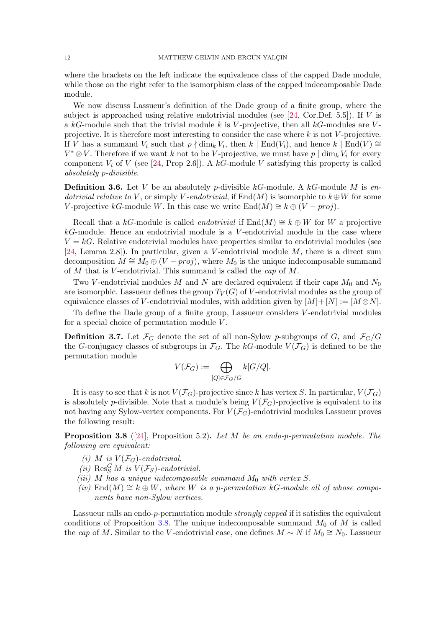where the brackets on the left indicate the equivalence class of the capped Dade module, while those on the right refer to the isomorphism class of the capped indecomposable Dade module.

We now discuss Lassueur's definition of the Dade group of a finite group, where the subject is approached using relative endotrivial modules (see  $[24, \text{Cor.Def. } 5.5]$  $[24, \text{Cor.Def. } 5.5]$ ). If V is a kG-module such that the trivial module k is V-projective, then all  $k$ G-modules are Vprojective. It is therefore most interesting to consider the case where  $k$  is not  $V$ -projective. If V has a summand  $V_i$  such that  $p \nmid \dim_k V_i$ , then  $k \mid \text{End}(V_i)$ , and hence  $k \mid \text{End}(V) \cong$  $V^* \otimes V$ . Therefore if we want k not to be V-projective, we must have  $p \mid \dim_k V_i$  for every component  $V_i$  of V (see [\[24,](#page-39-6) Prop 2.6]). A  $k$ -module V satisfying this property is called absolutely p-divisible.

**Definition 3.6.** Let V be an absolutely p-divisible kG-module. A kG-module M is endotrivial relative to V, or simply V-endotrivial, if  $\text{End}(M)$  is isomorphic to  $k\oplus W$  for some V-projective kG-module W. In this case we write  $\text{End}(M) \cong k \oplus (V - proj)$ .

Recall that a kG-module is called *endotrivial* if  $\text{End}(M) \cong k \oplus W$  for W a projective  $k$ -module. Hence an endotrivial module is a V-endotrivial module in the case where  $V = kG$ . Relative endotrivial modules have properties similar to endotrivial modules (see [\[24,](#page-39-6) Lemma 2.8]). In particular, given a V-endotrivial module  $M$ , there is a direct sum decomposition  $M \cong M_0 \oplus (V - proj)$ , where  $M_0$  is the unique indecomposable summand of M that is V-endotrivial. This summand is called the cap of  $M$ .

Two V-endotrivial modules M and N are declared equivalent if their caps  $M_0$  and  $N_0$ are isomorphic. Lassueur defines the group  $T_V(G)$  of V-endotrivial modules as the group of equivalence classes of V-endotrivial modules, with addition given by  $[M]+[N] := [M \otimes N]$ .

To define the Dade group of a finite group, Lassueur considers V -endotrivial modules for a special choice of permutation module  $V$ .

**Definition 3.7.** Let  $\mathcal{F}_G$  denote the set of all non-Sylow p-subgroups of G, and  $\mathcal{F}_G/G$ the G-conjugacy classes of subgroups in  $\mathcal{F}_G$ . The kG-module  $V(\mathcal{F}_G)$  is defined to be the permutation module

$$
V(\mathcal{F}_G):=\bigoplus_{[Q]\in\mathcal{F}_G/G} k[G/Q].
$$

It is easy to see that k is not  $V(\mathcal{F}_G)$ -projective since k has vertex S. In particular,  $V(\mathcal{F}_G)$ is absolutely p-divisible. Note that a module's being  $V(\mathcal{F}_G)$ -projective is equivalent to its not having any Sylow-vertex components. For  $V(\mathcal{F}_G)$ -endotrivial modules Lassueur proves the following result:

<span id="page-11-0"></span>Proposition 3.8 ([\[24\]](#page-39-6), Proposition 5.2). Let M be an endo-p-permutation module. The following are equivalent:

- (i) M is  $V(\mathcal{F}_G)$ -endotrivial.
- (ii)  $\operatorname{Res}^G_S M$  is  $V(\mathcal{F}_S)$ -endotrivial.
- (iii) M has a unique indecomposable summand  $M_0$  with vertex S.
- <span id="page-11-1"></span>(iv) End(M)  $\cong k \oplus W$ , where W is a p-permutation kG-module all of whose components have non-Sylow vertices.

Lassueur calls an endo-p-permutation module strongly capped if it satisfies the equivalent conditions of Proposition [3.8.](#page-11-0) The unique indecomposable summand  $M_0$  of M is called the cap of M. Similar to the V-endotrivial case, one defines  $M \sim N$  if  $M_0 \cong N_0$ . Lassueur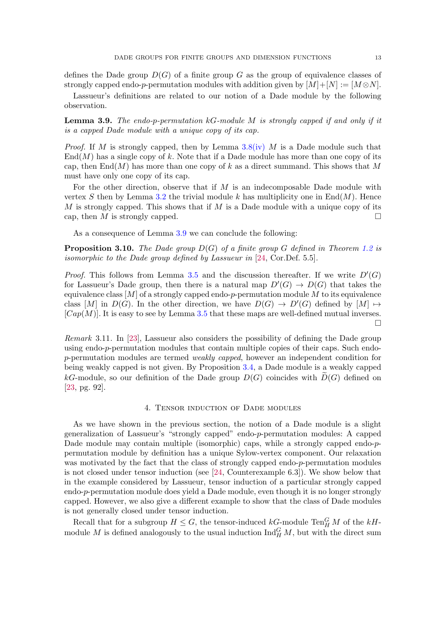defines the Dade group  $D(G)$  of a finite group G as the group of equivalence classes of strongly capped endo-p-permutation modules with addition given by  $[M]+[N] := [M \otimes N]$ .

Lassueur's definitions are related to our notion of a Dade module by the following observation.

<span id="page-12-2"></span>**Lemma 3.9.** The endo-p-permutation  $kG$ -module M is strongly capped if and only if it is a capped Dade module with a unique copy of its cap.

*Proof.* If M is strongly capped, then by Lemma  $3.8(iv)$  $3.8(iv)$  M is a Dade module such that  $\text{End}(M)$  has a single copy of k. Note that if a Dade module has more than one copy of its cap, then  $End(M)$  has more than one copy of k as a direct summand. This shows that M must have only one copy of its cap.

For the other direction, observe that if  $M$  is an indecomposable Dade module with vertex S then by Lemma [3.2](#page-9-5) the trivial module k has multiplicity one in  $End(M)$ . Hence M is strongly capped. This shows that if M is a Dade module with a unique copy of its cap, then M is strongly capped.

As a consequence of Lemma [3.9](#page-12-2) we can conclude the following:

<span id="page-12-0"></span>**Proposition 3.10.** The Dade group  $D(G)$  of a finite group G defined in Theorem [1.2](#page-1-0) is isomorphic to the Dade group defined by Lassueur in [\[24,](#page-39-6) Cor.Def. 5.5].

*Proof.* This follows from Lemma [3.5](#page-10-1) and the discussion thereafter. If we write  $D'(G)$ for Lassueur's Dade group, then there is a natural map  $D'(G) \to D(G)$  that takes the equivalence class  $[M]$  of a strongly capped endo-p-permutation module M to its equivalence class  $[M]$  in  $D(G)$ . In the other direction, we have  $D(G) \to D'(G)$  defined by  $[M] \mapsto$  $[Cap(M)]$ . It is easy to see by Lemma [3.5](#page-10-1) that these maps are well-defined mutual inverses.  $\Box$ 

Remark 3.11. In [\[23\]](#page-39-15), Lassueur also considers the possibility of defining the Dade group using endo-p-permutation modules that contain multiple copies of their caps. Such endop-permutation modules are termed weakly capped, however an independent condition for being weakly capped is not given. By Proposition [3.4,](#page-10-0) a Dade module is a weakly capped kG-module, so our definition of the Dade group  $D(G)$  coincides with  $D(G)$  defined on [\[23,](#page-39-15) pg. 92].

### 4. Tensor induction of Dade modules

<span id="page-12-1"></span>As we have shown in the previous section, the notion of a Dade module is a slight generalization of Lassueur's "strongly capped" endo-p-permutation modules: A capped Dade module may contain multiple (isomorphic) caps, while a strongly capped endo-ppermutation module by definition has a unique Sylow-vertex component. Our relaxation was motivated by the fact that the class of strongly capped endo-p-permutation modules is not closed under tensor induction (see [\[24,](#page-39-6) Counterexample 6.3]). We show below that in the example considered by Lassueur, tensor induction of a particular strongly capped endo-p-permutation module does yield a Dade module, even though it is no longer strongly capped. However, we also give a different example to show that the class of Dade modules is not generally closed under tensor induction.

Recall that for a subgroup  $H \leq G$ , the tensor-induced  $kG$ -module  $\text{Ten}_{H}^{G} M$  of the  $kH$ module M is defined analogously to the usual induction  $\text{Ind}_{H}^{G} M$ , but with the direct sum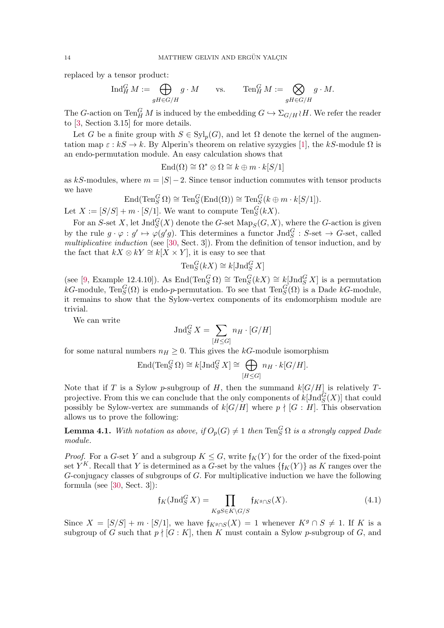replaced by a tensor product:

$$
\operatorname{Ind}_{H}^{G} M := \bigoplus_{gH \in G/H} g \cdot M \quad \text{vs.} \quad \operatorname{Ten}_{H}^{G} M := \bigotimes_{gH \in G/H} g \cdot M.
$$

The G-action on  $\text{Ten}_{H}^{G} M$  is induced by the embedding  $G \hookrightarrow \Sigma_{G/H} \wr H$ . We refer the reader to [\[3,](#page-39-10) Section 3.15] for more details.

Let G be a finite group with  $S \in \mathrm{Syl}_p(G)$ , and let  $\Omega$  denote the kernel of the augmentation map  $\varepsilon : kS \to k$ . By Alperin's theorem on relative syzygies [\[1\]](#page-38-3), the kS-module  $\Omega$  is an endo-permutation module. An easy calculation shows that

$$
End(\Omega) \cong \Omega^* \otimes \Omega \cong k \oplus m \cdot k[S/1]
$$

as kS-modules, where  $m = |S| - 2$ . Since tensor induction commutes with tensor products we have

$$
\operatorname{End}(\operatorname{Ten}^G_S \Omega) \cong \operatorname{Ten}^G_S(\operatorname{End}(\Omega)) \cong \operatorname{Ten}^G_S(k \oplus m \cdot k[S/1]).
$$

Let  $X := [S/S] + m \cdot [S/1]$ . We want to compute  $\text{Ten}_{S}^{G}(kX)$ .

For an S-set X, let  $\text{Ind}_{S}^{G}(X)$  denote the G-set  $\text{Map}_{S}(G,X)$ , where the G-action is given by the rule  $g \cdot \varphi : g' \mapsto \varphi(g'g)$ . This determines a functor  $\text{Ind}_{S}^{G}: S\text{-set} \to G\text{-set}$ , called multiplicative induction (see [\[30,](#page-39-16) Sect. 3]). From the definition of tensor induction, and by the fact that  $kX \otimes kY \cong k[X \times Y]$ , it is easy to see that

$$
\operatorname{Ten}^G_S(kX) \cong k[\operatorname{Jnd}^G_S X]
$$

(see [\[9,](#page-39-11) Example 12.4.10]). As  $\text{End}(\text{Ten}_S^G \Omega) \cong \text{Ten}_S^G(kX) \cong k[\text{Ind}_S^G X]$  is a permutation kG-module,  $\text{Ten}_S^G(\Omega)$  is endo-p-permutation. To see that  $\text{Ten}_S^G(\Omega)$  is a Dade kG-module, it remains to show that the Sylow-vertex components of its endomorphism module are trivial.

We can write

$$
\operatorname{Ind}_{S}^{G} X = \sum_{[H \leq G]} n_H \cdot [G/H]
$$

for some natural numbers  $n_H \geq 0$ . This gives the kG-module isomorphism

$$
\operatorname{End}(\operatorname{Ten}^G_S \Omega) \cong k[\operatorname{Jnd}^G_S X] \cong \bigoplus_{[H \leq G]} n_H \cdot k[G/H].
$$

Note that if T is a Sylow p-subgroup of H, then the summand  $k[G/H]$  is relatively Tprojective. From this we can conclude that the only components of  $k[\text{Jnd}_S^G(X)]$  that could possibly be Sylow-vertex are summands of  $k[G/H]$  where  $p \nmid [G:H]$ . This observation allows us to prove the following:

<span id="page-13-0"></span>**Lemma 4.1.** With notation as above, if  $O_p(G) \neq 1$  then  $\text{Ten}_S^G \Omega$  is a strongly capped Dade module.

*Proof.* For a G-set Y and a subgroup  $K \leq G$ , write  $f_K(Y)$  for the order of the fixed-point set  $Y^K$ . Recall that Y is determined as a G-set by the values  $\{f_K(Y)\}\$ as K ranges over the G-conjugacy classes of subgroups of G. For multiplicative induction we have the following formula (see [\[30,](#page-39-16) Sect. 3]):

<span id="page-13-1"></span>
$$
\mathfrak{f}_K(\text{Jnd}_S^G X) = \prod_{KgS \in K \backslash G/S} \mathfrak{f}_{K^g \cap S}(X). \tag{4.1}
$$

Since  $X = [S/S] + m \cdot [S/1]$ , we have  $f_{K^g \cap S}(X) = 1$  whenever  $K^g \cap S \neq 1$ . If K is a subgroup of G such that  $p \nmid [G : K]$ , then K must contain a Sylow p-subgroup of G, and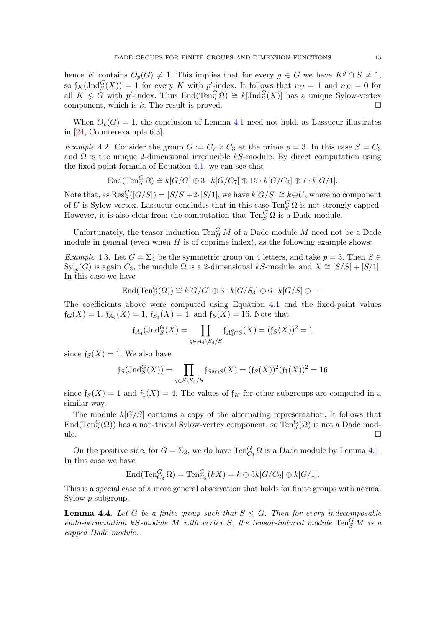hence K contains  $O_p(G) \neq 1$ . This implies that for every  $g \in G$  we have  $K^g \cap S \neq 1$ , so  $f_K(\text{Jnd}_S^G(X)) = 1$  for every K with p'-index. It follows that  $n_G = 1$  and  $n_K = 0$  for all  $K \leq G$  with p'-index. Thus  $\text{End}(\text{Ten}_S^G \Omega) \cong k[\text{Ind}_S^G(X)]$  has a unique Sylow-vertex component, which is k. The result is proved.  $\square$ 

When  $O_p(G) = 1$ , the conclusion of Lemma [4.1](#page-13-0) need not hold, as Lassueur illustrates in [\[24,](#page-39-6) Counterexample 6.3].

*Example 4.2.* Consider the group  $G := C_7 \rtimes C_3$  at the prime  $p = 3$ . In this case  $S = C_3$ and  $\Omega$  is the unique 2-dimensional irreducible kS-module. By direct computation using the fixed-point formula of Equation [4.1,](#page-13-1) we can see that

$$
\operatorname{End}(\operatorname{Ten}_S^G \Omega) \cong k[G/G] \oplus 3 \cdot k[G/C_7] \oplus 15 \cdot k[G/C_3] \oplus 7 \cdot k[G/1].
$$

Note that, as  $\text{Res}_{S}^{G}([G/S]) = [S/S]+2\cdot [S/1]$ , we have  $k[G/S] \cong k\oplus U$ , where no component of U is Sylow-vertex. Lassueur concludes that in this case  $\text{Ten}_S^G \Omega$  is not strongly capped. However, it is also clear from the computation that  $\text{Ten}_S^G \Omega$  is a Dade module.

Unfortunately, the tensor induction  $\text{Ten}_{H}^{G} M$  of a Dade module M need not be a Dade module in general (even when  $H$  is of coprime index), as the following example shows:

Example 4.3. Let  $G = \Sigma_4$  be the symmetric group on 4 letters, and take  $p = 3$ . Then  $S \in$  $\text{Syl}_p(G)$  is again  $C_3$ , the module  $\Omega$  is a 2-dimensional kS-module, and  $X \cong [S/S] + [S/1]$ . In this case we have

$$
\operatorname{End}(\operatorname{Ten}^G_S(\Omega))\cong k[G/G]\oplus 3\cdot k[G/S_3]\oplus 6\cdot k[G/S]\oplus\cdots
$$

The coefficients above were computed using Equation [4.1](#page-13-1) and the fixed-point values  $f_G(X) = 1$ ,  $f_{A_4}(X) = 1$ ,  $f_{S_3}(X) = 4$ , and  $f_S(X) = 16$ . Note that

$$
\mathfrak{f}_{A_4}(\mathrm{Jnd}_S^G(X)) = \prod_{g \in A_4 \setminus S_4/S} \mathfrak{f}_{A_4^g \cap S}(X) = (\mathfrak{f}_S(X))^2 = 1
$$

since  $f_S(X) = 1$ . We also have

$$
\mathfrak{f}_{S}(\mathrm{Jnd}_{S}^{G}(X)) = \prod_{g \in S \setminus S_4/S} \mathfrak{f}_{S^g \cap S}(X) = (\mathfrak{f}_{S}(X))^{2} (\mathfrak{f}_{1}(X))^{2} = 16
$$

since  $f_S(X) = 1$  and  $f_1(X) = 4$ . The values of  $f_K$  for other subgroups are computed in a similar way.

The module  $k[G/S]$  contains a copy of the alternating representation. It follows that End(Ten $_S^G(\Omega)$ ) has a non-trivial Sylow-vertex component, so  $\text{Ten}_S^G(\Omega)$  is not a Dade module.

On the positive side, for  $G = \Sigma_3$ , we do have  $\text{Ten}_{C_3}^G \Omega$  is a Dade module by Lemma [4.1.](#page-13-0) In this case we have

$$
End(Ten_{C_3}^G \Omega) = Ten_{C_3}^G(kX) = k \oplus 3k[G/C_2] \oplus k[G/1].
$$

This is a special case of a more general observation that holds for finite groups with normal Sylow p-subgroup.

**Lemma 4.4.** Let G be a finite group such that  $S \subseteq G$ . Then for every indecomposable endo-permutation kS-module M with vertex S, the tensor-induced module  $\text{Ten}_S^G M$  is a capped Dade module.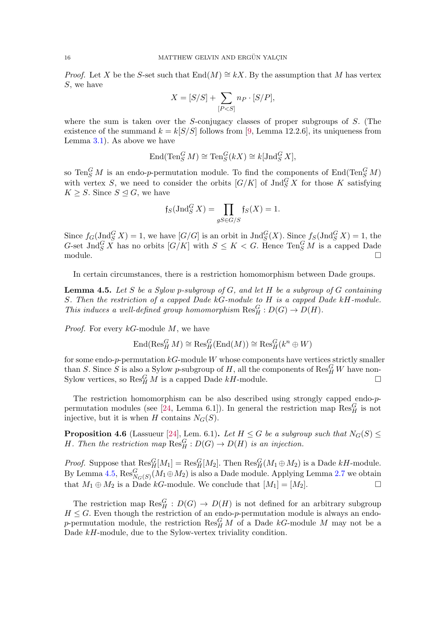*Proof.* Let X be the S-set such that  $\text{End}(M) \cong kX$ . By the assumption that M has vertex S, we have

$$
X = [S/S] + \sum_{[P
$$

where the sum is taken over the S-conjugacy classes of proper subgroups of  $S$ . (The existence of the summand  $k = k[S/S]$  follows from [\[9,](#page-39-11) Lemma 12.2.6], its uniqueness from Lemma [3.1\)](#page-9-2). As above we have

$$
\operatorname{End}(\operatorname{Ten}^G_S M) \cong \operatorname{Ten}^G_S(kX) \cong k[\operatorname{Jnd}^G_S X],
$$

so  $\text{Ten}_S^G M$  is an endo-p-permutation module. To find the components of  $\text{End}(\text{Ten}_S^G M)$ with vertex S, we need to consider the orbits  $[G/K]$  of  $\text{Ind}_{S}^{G} X$  for those K satisfying  $K \geq S$ . Since  $S \trianglelefteq G$ , we have

$$
\mathfrak{f}_S(\text{Jnd}_S^G X) = \prod_{gS \in G/S} \mathfrak{f}_S(X) = 1.
$$

Since  $f_G(\text{Jnd}_S^G X) = 1$ , we have  $[G/G]$  is an orbit in  $\text{Jnd}_S^G(X)$ . Since  $f_S(\text{Jnd}_S^G X) = 1$ , the G-set  $\text{Ind}_{S}^{G} X$  has no orbits  $[G/K]$  with  $S \leq K < G$ . Hence  $\text{Ten}_{S}^{G} M$  is a capped Dade module.  $\Box$ 

In certain circumstances, there is a restriction homomorphism between Dade groups.

<span id="page-15-0"></span>**Lemma 4.5.** Let S be a Sylow p-subgroup of G, and let  $H$  be a subgroup of  $G$  containing S. Then the restriction of a capped Dade kG-module to H is a capped Dade kH-module. This induces a well-defined group homomorphism  $\text{Res}_{H}^{G}: D(G) \to D(H)$ .

*Proof.* For every  $kG$ -module M, we have

$$
\operatorname{End}(\operatorname{Res}^G_HM)\cong \operatorname{Res}^G_H(\operatorname{End}(M))\cong \operatorname{Res}^G_H(k^n\oplus W)
$$

for some endo-p-permutation  $kG$ -module W whose components have vertices strictly smaller than S. Since S is also a Sylow p-subgroup of H, all the components of  $\operatorname{Res}_{H}^{G}W$  have non-Sylow vertices, so  $\operatorname{Res}_H^G M$  is a capped Dade  $kH$ -module.

The restriction homomorphism can be also described using strongly capped endo-p-permutation modules (see [\[24,](#page-39-6) Lemma 6.1]). In general the restriction map  $\text{Res}_{H}^{G}$  is not injective, but it is when H contains  $N_G(S)$ .

**Proposition 4.6** (Lassueur [\[24\]](#page-39-6), Lem. 6.1). Let  $H \leq G$  be a subgroup such that  $N_G(S) \leq$ H. Then the restriction map  $\text{Res}_{H}^{G}: D(G) \to D(H)$  is an injection.

*Proof.* Suppose that  $\text{Res}_{H}^{G}[M_1] = \text{Res}_{H}^{G}[M_2]$ . Then  $\text{Res}_{H}^{G}(M_1 \oplus M_2)$  is a Dade kH-module. By Lemma [4.5,](#page-15-0)  $\text{Res}_{N_G(S)}^G(M_1 \oplus M_2)$  is also a Dade module. Applying Lemma [2.7](#page-7-0) we obtain that  $M_1 \oplus M_2$  is a Dade kG-module. We conclude that  $[M_1] = [M_2]$ .

The restriction map  $\operatorname{Res}^G_H : D(G) \to D(H)$  is not defined for an arbitrary subgroup  $H \leq G$ . Even though the restriction of an endo-p-permutation module is always an endop-permutation module, the restriction  $\operatorname{Res}_{H}^{G} M$  of a Dade kG-module M may not be a Dade  $k$ H-module, due to the Sylow-vertex triviality condition.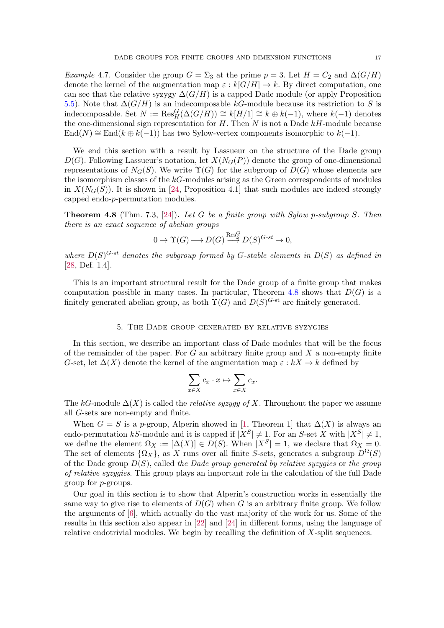Example 4.7. Consider the group  $G = \Sigma_3$  at the prime  $p = 3$ . Let  $H = C_2$  and  $\Delta(G/H)$ denote the kernel of the augmentation map  $\varepsilon : k[G/H] \to k$ . By direct computation, one can see that the relative syzygy  $\Delta(G/H)$  is a capped Dade module (or apply Proposition [5.5\)](#page-18-0). Note that  $\Delta(G/H)$  is an indecomposable kG-module because its restriction to S is indecomposable. Set  $N := \text{Res}_{H}^{G}(\Delta(G/H)) \cong k[H/1] \cong k \oplus k(-1)$ , where  $k(-1)$  denotes the one-dimensional sign representation for  $H$ . Then  $N$  is not a Dade  $kH$ -module because  $\text{End}(N) \cong \text{End}(k \oplus k(-1))$  has two Sylow-vertex components isomorphic to  $k(-1)$ .

We end this section with a result by Lassueur on the structure of the Dade group  $D(G)$ . Following Lassueur's notation, let  $X(N_G(P))$  denote the group of one-dimensional representations of  $N_G(S)$ . We write  $\Upsilon(G)$  for the subgroup of  $D(G)$  whose elements are the isomorphism classes of the  $k$ -modules arising as the Green correspondents of modules in  $X(N_G(S))$ . It is shown in [\[24,](#page-39-6) Proposition 4.1] that such modules are indeed strongly capped endo-p-permutation modules.

<span id="page-16-1"></span>**Theorem 4.8** (Thm. 7.3, [\[24\]](#page-39-6)). Let G be a finite group with Sylow p-subgroup S. Then there is an exact sequence of abelian groups

$$
0 \to \Upsilon(G) \longrightarrow D(G) \stackrel{\text{Res}^G_S}{\longrightarrow} D(S)^{G\text{-}st} \to 0,
$$

where  $D(S)^{G-st}$  denotes the subgroup formed by G-stable elements in  $D(S)$  as defined in [\[28,](#page-39-5) Def. 1.4].

This is an important structural result for the Dade group of a finite group that makes computation possible in many cases. In particular, Theorem [4.8](#page-16-1) shows that  $D(G)$  is a finitely generated abelian group, as both  $\Upsilon(G)$  and  $D(S)^{G\text{-st}}$  are finitely generated.

## 5. The Dade group generated by relative syzygies

<span id="page-16-0"></span>In this section, we describe an important class of Dade modules that will be the focus of the remainder of the paper. For  $G$  an arbitrary finite group and  $X$  a non-empty finite G-set, let  $\Delta(X)$  denote the kernel of the augmentation map  $\varepsilon : kX \to k$  defined by

$$
\sum_{x \in X} c_x \cdot x \mapsto \sum_{x \in X} c_x.
$$

The kG-module  $\Delta(X)$  is called the *relative syzygy of X*. Throughout the paper we assume all G-sets are non-empty and finite.

When  $G = S$  is a p-group, Alperin showed in [\[1,](#page-38-3) Theorem 1] that  $\Delta(X)$  is always an endo-permutation kS-module and it is capped if  $|X^S| \neq 1$ . For an S-set X with  $|X^S| \neq 1$ , we define the element  $\Omega_X := [\Delta(X)] \in D(S)$ . When  $|X^S| = 1$ , we declare that  $\Omega_X = 0$ . The set of elements  $\{\Omega_X\}$ , as X runs over all finite S-sets, generates a subgroup  $D^{\Omega}(S)$ of the Dade group  $D(S)$ , called the Dade group generated by relative syzygies or the group of relative syzygies. This group plays an important role in the calculation of the full Dade group for p-groups.

Our goal in this section is to show that Alperin's construction works in essentially the same way to give rise to elements of  $D(G)$  when G is an arbitrary finite group. We follow the arguments of [\[6\]](#page-39-17), which actually do the vast majority of the work for us. Some of the results in this section also appear in [\[22\]](#page-39-18) and [\[24\]](#page-39-6) in different forms, using the language of relative endotrivial modules. We begin by recalling the definition of X-split sequences.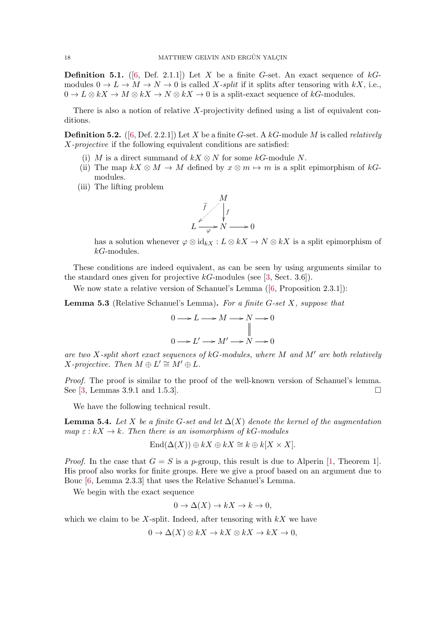**Definition 5.1.** ([\[6,](#page-39-17) Def. 2.1.1]) Let X be a finite G-set. An exact sequence of  $k$ Gmodules  $0 \to L \to M \to N \to 0$  is called X-split if it splits after tensoring with kX, i.e.,  $0 \to L \otimes kX \to M \otimes kX \to N \otimes kX \to 0$  is a split-exact sequence of  $kG$ -modules.

There is also a notion of relative X-projectivity defined using a list of equivalent conditions.

<span id="page-17-1"></span>**Definition 5.2.** ([\[6,](#page-39-17) Def. 2.2.1]) Let X be a finite G-set. A kG-module M is called *relatively* X-projective if the following equivalent conditions are satisfied:

- (i) M is a direct summand of  $kX \otimes N$  for some  $kG$ -module N.
- (ii) The map  $kX \otimes M \to M$  defined by  $x \otimes m \mapsto m$  is a split epimorphism of  $kG$ modules.
- (iii) The lifting problem



has a solution whenever  $\varphi \otimes id_{kX} : L \otimes kX \to N \otimes kX$  is a split epimorphism of kG-modules.

These conditions are indeed equivalent, as can be seen by using arguments similar to the standard ones given for projective  $k$ G-modules (see [\[3,](#page-39-10) Sect. 3.6]).

We now state a relative version of Schanuel's Lemma ([\[6,](#page-39-17) Proposition 2.3.1]):

**Lemma 5.3** (Relative Schanuel's Lemma). For a finite  $G$ -set  $X$ , suppose that

$$
0 \longrightarrow L \longrightarrow M \longrightarrow N \longrightarrow 0
$$
  

$$
\parallel
$$
  

$$
0 \longrightarrow L' \longrightarrow M' \longrightarrow N \longrightarrow 0
$$

are two X-split short exact sequences of  $kG$ -modules, where M and M' are both relatively  $X\text{-}\text{projective}.$  Then  $M \oplus L' \cong M' \oplus L$ .

Proof. The proof is similar to the proof of the well-known version of Schanuel's lemma. See [\[3,](#page-39-10) Lemmas 3.9.1 and 1.5.3].

We have the following technical result.

<span id="page-17-0"></span>**Lemma 5.4.** Let X be a finite G-set and let  $\Delta(X)$  denote the kernel of the augmentation map  $\varepsilon : kX \to k$ . Then there is an isomorphism of kG-modules

$$
End(\Delta(X)) \oplus kX \oplus kX \cong k \oplus k[X \times X].
$$

*Proof.* In the case that  $G = S$  is a p-group, this result is due to Alperin [\[1,](#page-38-3) Theorem 1]. His proof also works for finite groups. Here we give a proof based on an argument due to Bouc [\[6,](#page-39-17) Lemma 2.3.3] that uses the Relative Schanuel's Lemma.

We begin with the exact sequence

$$
0 \to \Delta(X) \to kX \to k \to 0,
$$

which we claim to be X-split. Indeed, after tensoring with  $kX$  we have

$$
0 \to \Delta(X) \otimes kX \to kX \otimes kX \to kX \to 0,
$$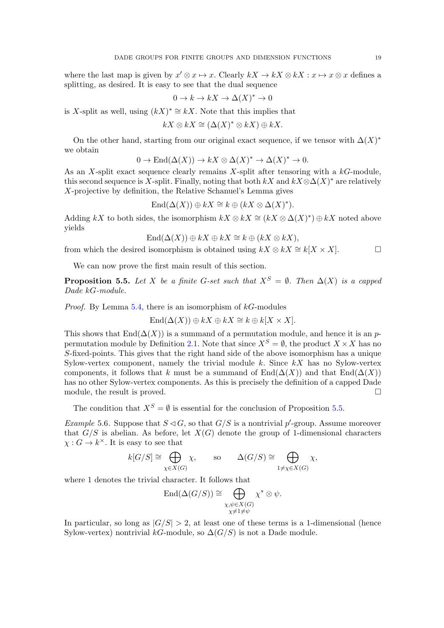where the last map is given by  $x' \otimes x \mapsto x$ . Clearly  $kX \to kX \otimes kX : x \mapsto x \otimes x$  defines a splitting, as desired. It is easy to see that the dual sequence

$$
0 \to k \to kX \to \Delta(X)^* \to 0
$$

is X-split as well, using  $(kX)^* \cong kX$ . Note that this implies that

$$
kX \otimes kX \cong (\Delta(X)^* \otimes kX) \oplus kX.
$$

On the other hand, starting from our original exact sequence, if we tensor with  $\Delta(X)^*$ we obtain

$$
0 \to \text{End}(\Delta(X)) \to kX \otimes \Delta(X)^* \to \Delta(X)^* \to 0.
$$

As an X-split exact sequence clearly remains X-split after tensoring with a kG-module, this second sequence is X-split. Finally, noting that both  $kX$  and  $kX\otimes\Delta(X)^*$  are relatively X-projective by definition, the Relative Schanuel's Lemma gives

$$
End(\Delta(X)) \oplus kX \cong k \oplus (kX \otimes \Delta(X)^*).
$$

Adding kX to both sides, the isomorphism  $kX \otimes kX \cong (kX \otimes \Delta(X)^*) \oplus kX$  noted above yields

$$
End(\Delta(X)) \oplus kX \oplus kX \cong k \oplus (kX \otimes kX),
$$

from which the desired isomorphism is obtained using  $kX \otimes kX \cong k[X \times X]$ .

We can now prove the first main result of this section.

<span id="page-18-0"></span>**Proposition 5.5.** Let X be a finite G-set such that  $X^S = \emptyset$ . Then  $\Delta(X)$  is a capped Dade kG-module.

*Proof.* By Lemma [5.4,](#page-17-0) there is an isomorphism of  $kG$ -modules

$$
End(\Delta(X)) \oplus kX \oplus kX \cong k \oplus k[X \times X].
$$

This shows that  $\text{End}(\Delta(X))$  is a summand of a permutation module, and hence it is an p-permutation module by Definition [2.1.](#page-5-2) Note that since  $X^S = \emptyset$ , the product  $X \times X$  has no S-fixed-points. This gives that the right hand side of the above isomorphism has a unique Sylow-vertex component, namely the trivial module  $k$ . Since  $kX$  has no Sylow-vertex components, it follows that k must be a summand of  $\text{End}(\Delta(X))$  and that  $\text{End}(\Delta(X))$ has no other Sylow-vertex components. As this is precisely the definition of a capped Dade module, the result is proved.

The condition that  $X^S = \emptyset$  is essential for the conclusion of Proposition [5.5.](#page-18-0)

*Example* 5.6. Suppose that  $S \triangleleft G$ , so that  $G/S$  is a nontrivial p'-group. Assume moreover that  $G/S$  is abelian. As before, let  $X(G)$  denote the group of 1-dimensional characters  $\chi: G \to k^{\times}$ . It is easy to see that

$$
k[G/S] \cong \bigoplus_{\chi \in X(G)} \chi
$$
, so  $\Delta(G/S) \cong \bigoplus_{1 \neq \chi \in X(G)} \chi$ ,

where 1 denotes the trivial character. It follows that

$$
\operatorname{End}(\Delta(G/S)) \cong \bigoplus_{\substack{\chi, \psi \in X(G) \\ \chi \neq 1 \neq \psi}} \chi^* \otimes \psi.
$$

In particular, so long as  $|G/S| > 2$ , at least one of these terms is a 1-dimensional (hence Sylow-vertex) nontrivial kG-module, so  $\Delta(G/S)$  is not a Dade module.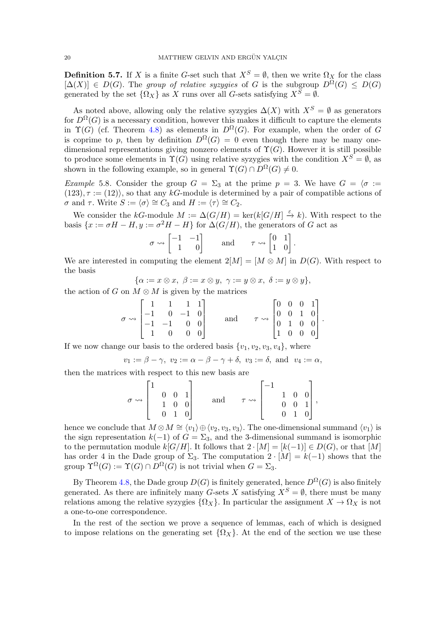**Definition 5.7.** If X is a finite G-set such that  $X^S = \emptyset$ , then we write  $\Omega_X$  for the class  $[\Delta(X)] \in D(G)$ . The group of relative syzygies of G is the subgroup  $D^{\Omega}(G) \leq D(G)$ generated by the set  $\{\Omega_X\}$  as X runs over all G-sets satisfying  $X^{\overline{S}} = \emptyset$ .

As noted above, allowing only the relative syzygies  $\Delta(X)$  with  $X^S = \emptyset$  as generators for  $D^{\Omega}(G)$  is a necessary condition, however this makes it difficult to capture the elements in  $\Upsilon(G)$  (cf. Theorem [4.8\)](#page-16-1) as elements in  $D^{\Omega}(G)$ . For example, when the order of G is coprime to p, then by definition  $D^{\Omega}(G) = 0$  even though there may be many onedimensional representations giving nonzero elements of  $\Upsilon(G)$ . However it is still possible to produce some elements in  $\Upsilon(G)$  using relative syzygies with the condition  $X^S = \emptyset$ , as shown in the following example, so in general  $\Upsilon(G) \cap D^{\Omega}(G) \neq 0$ .

Example 5.8. Consider the group  $G = \Sigma_3$  at the prime  $p = 3$ . We have  $G = \langle \sigma :=$  $(123), \tau := (12)$ , so that any kG-module is determined by a pair of compatible actions of  $σ$  and  $τ$ . Write  $S := \langle σ \rangle \cong C_3$  and  $H := \langle τ \rangle \cong C_2$ .

We consider the kG-module  $M := \Delta(G/H) = \ker(k[G/H] \stackrel{\varepsilon}{\to} k)$ . With respect to the basis  $\{x := \sigma H - H, y := \sigma^2 H - H\}$  for  $\Delta(G/H)$ , the generators of G act as

$$
\sigma \leadsto \begin{bmatrix} -1 & -1 \\ 1 & 0 \end{bmatrix} \quad \text{and} \quad \tau \leadsto \begin{bmatrix} 0 & 1 \\ 1 & 0 \end{bmatrix}.
$$

We are interested in computing the element  $2[M] = [M \otimes M]$  in  $D(G)$ . With respect to the basis

$$
\{\alpha:=x\otimes x,\ \beta:=x\otimes y,\ \gamma:=y\otimes x,\ \delta:=y\otimes y\},\
$$

the action of G on  $M \otimes M$  is given by the matrices

$$
\sigma \rightsquigarrow \begin{bmatrix} 1 & 1 & 1 & 1 \\ -1 & 0 & -1 & 0 \\ -1 & -1 & 0 & 0 \\ 1 & 0 & 0 & 0 \end{bmatrix} \quad \text{and} \quad \tau \rightsquigarrow \begin{bmatrix} 0 & 0 & 0 & 1 \\ 0 & 0 & 1 & 0 \\ 0 & 1 & 0 & 0 \\ 1 & 0 & 0 & 0 \end{bmatrix}.
$$

If we now change our basis to the ordered basis  $\{v_1, v_2, v_3, v_4\}$ , where

$$
v_1 := \beta - \gamma, \ v_2 := \alpha - \beta - \gamma + \delta, \ v_3 := \delta, \ \text{and} \ \ v_4 := \alpha,
$$

then the matrices with respect to this new basis are

$$
\sigma \rightsquigarrow \begin{bmatrix} 1 & & & \\ & 0 & 0 & 1 \\ & 1 & 0 & 0 \\ & 0 & 1 & 0 \end{bmatrix} \quad \text{and} \quad \tau \rightsquigarrow \begin{bmatrix} -1 & & \\ & 1 & 0 & 0 \\ & 0 & 0 & 1 \\ & 0 & 1 & 0 \end{bmatrix},
$$

hence we conclude that  $M \otimes M \cong \langle v_1 \rangle \oplus \langle v_2, v_3, v_3 \rangle$ . The one-dimensional summand  $\langle v_1 \rangle$  is the sign representation  $k(-1)$  of  $G = \Sigma_3$ , and the 3-dimensional summand is isomorphic to the permutation module  $k[G/H]$ . It follows that  $2 \cdot [M] = [k(-1)] \in D(G)$ , or that [M] has order 4 in the Dade group of  $\Sigma_3$ . The computation  $2 \cdot [M] = k(-1)$  shows that the group  $\Upsilon^{\Omega}(G) := \Upsilon(G) \cap D^{\Omega}(G)$  is not trivial when  $G = \Sigma_3$ .

By Theorem [4.8,](#page-16-1) the Dade group  $D(G)$  is finitely generated, hence  $D^{\Omega}(G)$  is also finitely generated. As there are infinitely many G-sets X satisfying  $X^S = \emptyset$ , there must be many relations among the relative syzygies  $\{\Omega_X\}$ . In particular the assignment  $X \to \Omega_X$  is not a one-to-one correspondence.

In the rest of the section we prove a sequence of lemmas, each of which is designed to impose relations on the generating set  $\{\Omega_X\}$ . At the end of the section we use these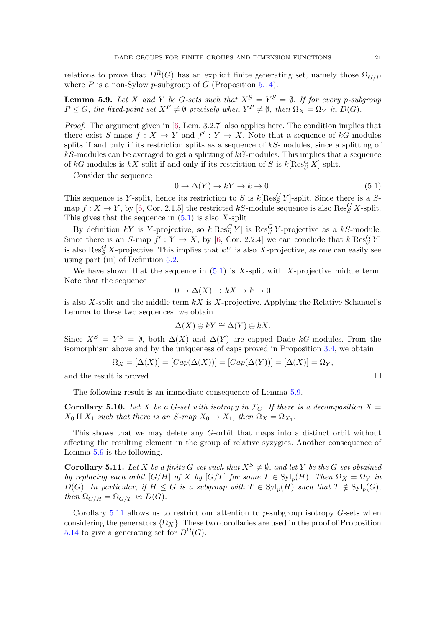relations to prove that  $D^{\Omega}(G)$  has an explicit finite generating set, namely those  $\Omega_{G/P}$ where  $P$  is a non-Sylow p-subgroup of  $G$  (Proposition [5.14\)](#page-22-0).

<span id="page-20-1"></span>**Lemma 5.9.** Let X and Y be G-sets such that  $X^S = Y^S = \emptyset$ . If for every p-subgroup  $P \leq G$ , the fixed-point set  $X^P \neq \emptyset$  precisely when  $Y^P \neq \emptyset$ , then  $\Omega_X = \Omega_Y$  in  $D(G)$ .

Proof. The argument given in [\[6,](#page-39-17) Lem. 3.2.7] also applies here. The condition implies that there exist S-maps  $f: X \to Y$  and  $f': Y \to X$ . Note that a sequence of kG-modules splits if and only if its restriction splits as a sequence of kS-modules, since a splitting of  $kS$ -modules can be averaged to get a splitting of  $kG$ -modules. This implies that a sequence of kG-modules is kX-split if and only if its restriction of S is  $k[\text{Res}_S^G X]$ -split.

Consider the sequence

<span id="page-20-0"></span>
$$
0 \to \Delta(Y) \to kY \to k \to 0. \tag{5.1}
$$

This sequence is Y-split, hence its restriction to S is  $k[\text{Res}_{S}^{G} Y]$ -split. Since there is a Smap  $f: X \to Y$ , by [\[6,](#page-39-17) Cor. 2.1.5] the restricted  $kS$ -module sequence is also  $\operatorname{Res}_{S}^{G} X$ -split. This gives that the sequence in  $(5.1)$  is also X-split

By definition kY is Y-projective, so  $k[\text{Res}_S^G Y]$  is  $\text{Res}_S^G Y$ -projective as a kS-module. Since there is an S-map  $f': Y \to X$ , by [\[6,](#page-39-17) Cor. 2.2.4] we can conclude that  $k[\text{Res}_S^G Y]$ is also  $\text{Res}_{S}^{G} X$ -projective. This implies that  $kY$  is also X-projective, as one can easily see using part (iii) of Definition [5.2.](#page-17-1)

We have shown that the sequence in  $(5.1)$  $(5.1)$  is X-split with X-projective middle term. Note that the sequence

$$
0 \to \Delta(X) \to kX \to k \to 0
$$

is also X-split and the middle term  $kX$  is X-projective. Applying the Relative Schanuel's Lemma to these two sequences, we obtain

$$
\Delta(X) \oplus kY \cong \Delta(Y) \oplus kX.
$$

Since  $X^S = Y^S = \emptyset$ , both  $\Delta(X)$  and  $\Delta(Y)$  are capped Dade kG-modules. From the isomorphism above and by the uniqueness of caps proved in Proposition [3.4,](#page-10-0) we obtain

$$
\Omega_X = [\Delta(X)] = [Cap(\Delta(X))] = [Cap(\Delta(Y))] = [\Delta(X)] = \Omega_Y,
$$

and the result is proved.

The following result is an immediate consequence of Lemma [5.9.](#page-20-1)

<span id="page-20-3"></span>**Corollary 5.10.** Let X be a G-set with isotropy in  $\mathcal{F}_G$ . If there is a decomposition X =  $X_0 \amalg X_1$  such that there is an S-map  $X_0 \to X_1$ , then  $\Omega_X = \Omega_{X_1}$ .

This shows that we may delete any G-orbit that maps into a distinct orbit without affecting the resulting element in the group of relative syzygies. Another consequence of Lemma [5.9](#page-20-1) is the following.

<span id="page-20-2"></span>**Corollary 5.11.** Let X be a finite G-set such that  $X^S \neq \emptyset$ , and let Y be the G-set obtained by replacing each orbit  $[G/H]$  of X by  $[G/T]$  for some  $T \in \mathrm{Syl}_p(H)$ . Then  $\Omega_X = \Omega_Y$  in  $D(G)$ . In particular, if  $H \leq G$  is a subgroup with  $T \in \mathrm{Syl}_p(H)$  such that  $T \notin \mathrm{Syl}_p(G)$ , then  $\Omega_{G/H} = \Omega_{G/T}$  in  $D(G)$ .

Corollary  $5.11$  allows us to restrict our attention to p-subgroup isotropy  $G$ -sets when considering the generators  $\{\Omega_X\}$ . These two corollaries are used in the proof of Proposition [5.14](#page-22-0) to give a generating set for  $D^{\Omega}(G)$ .

$$
\qquad \qquad \Box
$$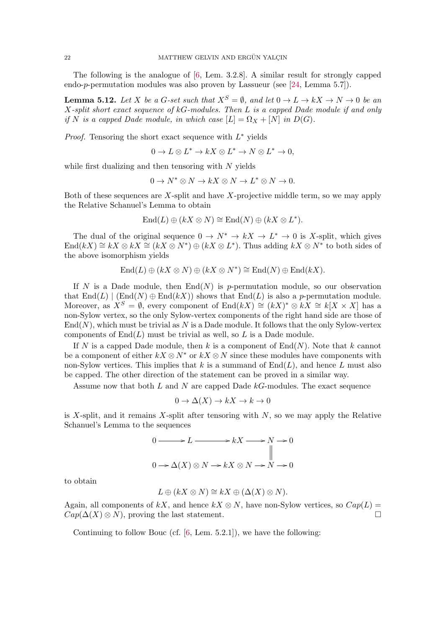The following is the analogue of [\[6,](#page-39-17) Lem. 3.2.8]. A similar result for strongly capped endo-p-permutation modules was also proven by Lassueur (see [\[24,](#page-39-6) Lemma 5.7]).

<span id="page-21-0"></span>**Lemma 5.12.** Let X be a G-set such that  $X^S = \emptyset$ , and let  $0 \to L \to kX \to N \to 0$  be an X-split short exact sequence of kG-modules. Then L is a capped Dade module if and only if N is a capped Dade module, in which case  $[L] = \Omega_X + [N]$  in  $D(G)$ .

*Proof.* Tensoring the short exact sequence with  $L^*$  yields

$$
0 \to L \otimes L^* \to kX \otimes L^* \to N \otimes L^* \to 0,
$$

while first dualizing and then tensoring with  $N$  yields

$$
0 \to N^* \otimes N \to kX \otimes N \to L^* \otimes N \to 0.
$$

Both of these sequences are  $X$ -split and have  $X$ -projective middle term, so we may apply the Relative Schanuel's Lemma to obtain

$$
End(L) \oplus (kX \otimes N) \cong End(N) \oplus (kX \otimes L^*).
$$

The dual of the original sequence  $0 \to N^* \to kX \to L^* \to 0$  is X-split, which gives  $\text{End}(kX) \cong kX \otimes kX \cong (kX \otimes N^*) \oplus (kX \otimes L^*)$ . Thus adding  $kX \otimes N^*$  to both sides of the above isomorphism yields

$$
End(L) \oplus (kX \otimes N) \oplus (kX \otimes N^*) \cong End(N) \oplus End(kX).
$$

If N is a Dade module, then  $End(N)$  is p-permutation module, so our observation that  $\text{End}(L)$  |  $(\text{End}(N) \oplus \text{End}(kX))$  shows that  $\text{End}(L)$  is also a p-permutation module. Moreover, as  $X^S = \emptyset$ , every component of End $(kX) \cong (kX)^* \otimes kX \cong k[X \times X]$  has a non-Sylow vertex, so the only Sylow-vertex components of the right hand side are those of  $\text{End}(N)$ , which must be trivial as N is a Dade module. It follows that the only Sylow-vertex components of  $End(L)$  must be trivial as well, so L is a Dade module.

If N is a capped Dade module, then k is a component of  $End(N)$ . Note that k cannot be a component of either  $kX \otimes N^*$  or  $kX \otimes N$  since these modules have components with non-Sylow vertices. This implies that  $k$  is a summand of  $End(L)$ , and hence  $L$  must also be capped. The other direction of the statement can be proved in a similar way.

Assume now that both  $L$  and  $N$  are capped Dade  $kG$ -modules. The exact sequence

$$
0 \to \Delta(X) \to kX \to k \to 0
$$

is  $X$ -split, and it remains  $X$ -split after tensoring with  $N$ , so we may apply the Relative Schanuel's Lemma to the sequences

$$
0 \longrightarrow L \longrightarrow kX \longrightarrow N \longrightarrow 0
$$
  

$$
0 \longrightarrow \Delta(X) \otimes N \longrightarrow kX \otimes N \longrightarrow N \longrightarrow 0
$$

to obtain

$$
L \oplus (kX \otimes N) \cong kX \oplus (\Delta(X) \otimes N).
$$

Again, all components of kX, and hence  $kX \otimes N$ , have non-Sylow vertices, so  $Cap(L)$  =  $Cap(\Delta(X) \otimes N)$ , proving the last statement.

Continuing to follow Bouc (cf. [\[6,](#page-39-17) Lem. 5.2.1]), we have the following: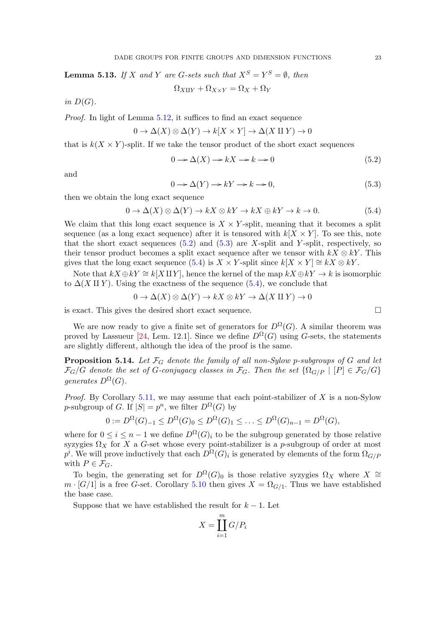<span id="page-22-4"></span>**Lemma 5.13.** If X and Y are G-sets such that  $X^S = Y^S = \emptyset$ , then

 $\Omega_{X\text{II}Y} + \Omega_{X\times Y} = \Omega_X + \Omega_Y$ 

in  $D(G)$ .

Proof. In light of Lemma [5.12,](#page-21-0) it suffices to find an exact sequence

$$
0 \to \Delta(X) \otimes \Delta(Y) \to k[X \times Y] \to \Delta(X \amalg Y) \to 0
$$

that is  $k(X \times Y)$ -split. If we take the tensor product of the short exact sequences

<span id="page-22-1"></span>
$$
0 \to \Delta(X) \to kX \to k \to 0 \tag{5.2}
$$

and

<span id="page-22-2"></span>
$$
0 \to \Delta(Y) \to kY \to k \to 0,\tag{5.3}
$$

then we obtain the long exact sequence

<span id="page-22-3"></span>
$$
0 \to \Delta(X) \otimes \Delta(Y) \to kX \otimes kY \to kX \oplus kY \to k \to 0. \tag{5.4}
$$

We claim that this long exact sequence is  $X \times Y$ -split, meaning that it becomes a split sequence (as a long exact sequence) after it is tensored with  $k[X \times Y]$ . To see this, note that the short exact sequences  $(5.2)$  and  $(5.3)$  are X-split and Y-split, respectively, so their tensor product becomes a split exact sequence after we tensor with  $kX \otimes kY$ . This gives that the long exact sequence [\(5.4\)](#page-22-3) is  $X \times Y$ -split since  $k[X \times Y] \cong kX \otimes kY$ .

Note that  $kX \oplus kY \cong k[X \amalg Y]$ , hence the kernel of the map  $kX \oplus kY \to k$  is isomorphic to  $\Delta(X \amalg Y)$ . Using the exactness of the sequence [\(5.4\)](#page-22-3), we conclude that

$$
0 \to \Delta(X) \otimes \Delta(Y) \to kX \otimes kY \to \Delta(X \amalg Y) \to 0
$$

is exact. This gives the desired short exact sequence.

We are now ready to give a finite set of generators for  $D^{\Omega}(G)$ . A similar theorem was proved by Lassueur [\[24,](#page-39-6) Lem. 12.1]. Since we define  $D^{\Omega}(G)$  using G-sets, the statements are slightly different, although the idea of the proof is the same.

<span id="page-22-0"></span>**Proposition 5.14.** Let  $\mathcal{F}_G$  denote the family of all non-Sylow p-subgroups of G and let  $\mathcal{F}_G/G$  denote the set of G-conjugacy classes in  $\mathcal{F}_G$ . Then the set  $\{\Omega_{G/P} \mid [P] \in \mathcal{F}_G/G\}$ generates  $D^{\Omega}(G)$ .

*Proof.* By Corollary [5.11,](#page-20-2) we may assume that each point-stabilizer of  $X$  is a non-Sylow p-subgroup of G. If  $|S| = p^n$ , we filter  $D^{\Omega}(G)$  by

$$
0 := D^{\Omega}(G)_{-1} \le D^{\Omega}(G)_0 \le D^{\Omega}(G)_1 \le \ldots \le D^{\Omega}(G)_{n-1} = D^{\Omega}(G),
$$

where for  $0 \leq i \leq n-1$  we define  $D^{\Omega}(G)_i$  to be the subgroup generated by those relative syzygies  $\Omega_X$  for X a G-set whose every point-stabilizer is a p-subgroup of order at most  $p^i$ . We will prove inductively that each  $D^{\Omega}(G)_i$  is generated by elements of the form  $\Omega_{G/F}$ with  $P \in \mathcal{F}_G$ .

To begin, the generating set for  $D^{\Omega}(G)_0$  is those relative syzygies  $\Omega_X$  where  $X \cong$  $m \cdot [G/1]$  is a free G-set. Corollary [5.10](#page-20-3) then gives  $X = \Omega_{G/1}$ . Thus we have established the base case.

Suppose that we have established the result for  $k - 1$ . Let

$$
X = \coprod_{i=1}^{m} G/P_i
$$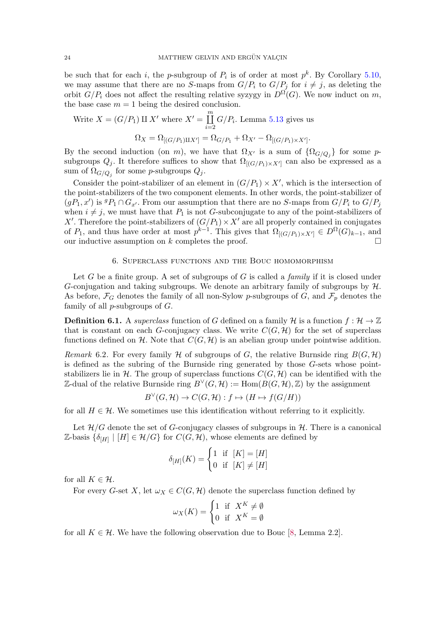be such that for each i, the p-subgroup of  $P_i$  is of order at most  $p^k$ . By Corollary [5.10,](#page-20-3) we may assume that there are no S-maps from  $G/P_i$  to  $G/P_j$  for  $i \neq j$ , as deleting the orbit  $G/P_i$  does not affect the resulting relative syzygy in  $D^{\Omega}(G)$ . We now induct on m, the base case  $m = 1$  being the desired conclusion.

Write 
$$
X = (G/P_1) \amalg X'
$$
 where  $X' = \coprod_{i=2}^{m} G/P_i$ . Lemma 5.13 gives us  
\n
$$
\Omega_X = \Omega_{[(G/P_1) \amalg X']} = \Omega_{G/P_1} + \Omega_{X'} - \Omega_{[(G/P_1) \times X']}.
$$

By the second induction (on m), we have that  $\Omega_{X'}$  is a sum of  $\{\Omega_{G/Q_j}\}\$  for some psubgroups  $Q_j$ . It therefore suffices to show that  $\Omega_{[(G/P_1)\times X']}$  can also be expressed as a sum of  $\Omega_{G/Q_j}$  for some *p*-subgroups  $Q_j$ .

Consider the point-stabilizer of an element in  $(G/P_1) \times X'$ , which is the intersection of the point-stabilizers of the two component elements. In other words, the point-stabilizer of  $(gP_1, x')$  is  ${}^gP_1 \cap G_{x'}$ . From our assumption that there are no S-maps from  $G/P_i$  to  $G/P_j$ when  $i \neq j$ , we must have that  $P_1$  is not G-subconjugate to any of the point-stabilizers of X'. Therefore the point-stabilizers of  $(G/P_1) \times X'$  are all properly contained in conjugates of  $P_1$ , and thus have order at most  $p^{k-1}$ . This gives that  $\Omega_{[(G/P_1)\times X']} \in D^{\Omega}(G)_{k-1}$ , and our inductive assumption on  $k$  completes the proof.

#### 6. Superclass functions and the Bouc homomorphism

<span id="page-23-0"></span>Let G be a finite group. A set of subgroups of G is called a family if it is closed under G-conjugation and taking subgroups. We denote an arbitrary family of subgroups by  $\mathcal{H}$ . As before,  $\mathcal{F}_G$  denotes the family of all non-Sylow p-subgroups of G, and  $\mathcal{F}_p$  denotes the family of all  $p$ -subgroups of  $G$ .

**Definition 6.1.** A superclass function of G defined on a family H is a function  $f: \mathcal{H} \to \mathbb{Z}$ that is constant on each G-conjugacy class. We write  $C(G, \mathcal{H})$  for the set of superclass functions defined on H. Note that  $C(G, H)$  is an abelian group under pointwise addition.

Remark 6.2. For every family H of subgroups of G, the relative Burnside ring  $B(G, H)$ is defined as the subring of the Burnside ring generated by those G-sets whose pointstabilizers lie in H. The group of superclass functions  $C(G, H)$  can be identified with the Z-dual of the relative Burnside ring  $B^{\vee}(G, \mathcal{H}) := \text{Hom}(B(G, \mathcal{H}), \mathbb{Z})$  by the assignment

$$
B^{\vee}(G, \mathcal{H}) \to C(G, \mathcal{H}): f \mapsto (H \mapsto f(G/H))
$$

for all  $H \in \mathcal{H}$ . We sometimes use this identification without referring to it explicitly.

Let  $\mathcal{H}/G$  denote the set of G-conjugacy classes of subgroups in  $\mathcal{H}$ . There is a canonical Z-basis  $\{\delta_{[H]} \mid [H] \in \mathcal{H}/G\}$  for  $C(G, \mathcal{H})$ , whose elements are defined by

$$
\delta_{[H]}(K) = \begin{cases} 1 & \text{if } [K] = [H] \\ 0 & \text{if } [K] \neq [H] \end{cases}
$$

for all  $K \in \mathcal{H}$ .

For every G-set X, let  $\omega_X \in C(G, \mathcal{H})$  denote the superclass function defined by

$$
\omega_X(K) = \begin{cases} 1 & \text{if } X^K \neq \emptyset \\ 0 & \text{if } X^K = \emptyset \end{cases}
$$

for all  $K \in \mathcal{H}$ . We have the following observation due to Bouc [\[8,](#page-39-7) Lemma 2.2].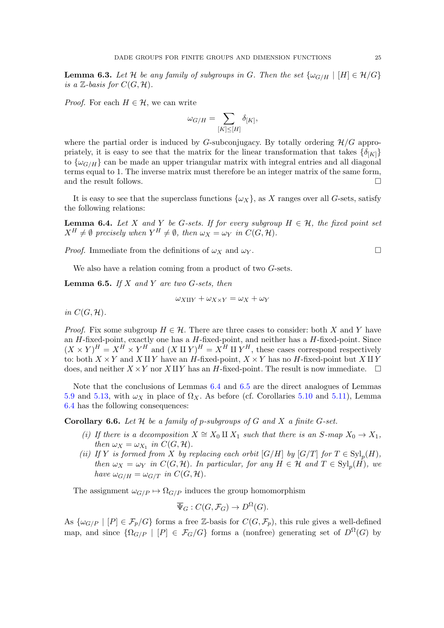**Lemma 6.3.** Let H be any family of subgroups in G. Then the set  $\{\omega_{G/H} \mid [H] \in \mathcal{H}/G\}$ is a  $\mathbb{Z}$ -basis for  $C(G, \mathcal{H})$ .

*Proof.* For each  $H \in \mathcal{H}$ , we can write

$$
\omega_{G/H} = \sum_{[K]\leq [H]} \delta_{[K]},
$$

where the partial order is induced by G-subconjugacy. By totally ordering  $\mathcal{H}/G$  appropriately, it is easy to see that the matrix for the linear transformation that takes  $\{\delta_{[K]}\}\$ to  $\{\omega_{G/H}\}\)$  can be made an upper triangular matrix with integral entries and all diagonal terms equal to 1. The inverse matrix must therefore be an integer matrix of the same form, and the result follows.  $\Box$ 

It is easy to see that the superclass functions  $\{\omega_X\}$ , as X ranges over all G-sets, satisfy the following relations:

<span id="page-24-0"></span>**Lemma 6.4.** Let X and Y be G-sets. If for every subgroup  $H \in \mathcal{H}$ , the fixed point set  $X^H \neq \emptyset$  precisely when  $Y^H \neq \emptyset$ , then  $\omega_X = \omega_Y$  in  $C(G, \mathcal{H})$ .

*Proof.* Immediate from the definitions of  $\omega_X$  and  $\omega_Y$ .

We also have a relation coming from a product of two G-sets.

<span id="page-24-1"></span>**Lemma 6.5.** If  $X$  and  $Y$  are two  $G$ -sets, then

$$
\omega_{X\amalg Y} + \omega_{X\times Y} = \omega_X + \omega_Y
$$

in  $C(G, \mathcal{H})$ .

*Proof.* Fix some subgroup  $H \in \mathcal{H}$ . There are three cases to consider: both X and Y have an  $H$ -fixed-point, exactly one has a  $H$ -fixed-point, and neither has a  $H$ -fixed-point. Since  $(X \times Y)^H = X^H \times Y^H$  and  $(X \amalg Y)^H = X^H \amalg Y^H$ , these cases correspond respectively to: both  $X \times Y$  and X IIY have an H-fixed-point,  $X \times Y$  has no H-fixed-point but X IIY does, and neither  $X \times Y$  nor  $X \amalg Y$  has an H-fixed-point. The result is now immediate.  $\Box$ 

Note that the conclusions of Lemmas [6.4](#page-24-0) and [6.5](#page-24-1) are the direct analogues of Lemmas [5.9](#page-20-1) and [5.13,](#page-22-4) with  $\omega_X$  in place of  $\Omega_X$ . As before (cf. Corollaries [5.10](#page-20-3) and [5.11\)](#page-20-2), Lemma [6.4](#page-24-0) has the following consequences:

<span id="page-24-4"></span><span id="page-24-2"></span>**Corollary 6.6.** Let  $H$  be a family of p-subgroups of  $G$  and  $X$  a finite  $G$ -set.

- (i) If there is a decomposition  $X \cong X_0 \amalg X_1$  such that there is an S-map  $X_0 \to X_1$ , then  $\omega_X = \omega_{X_1}$  in  $C(G, \mathcal{H})$ .
- <span id="page-24-3"></span>(ii) If Y is formed from X by replacing each orbit  $[G/H]$  by  $[G/T]$  for  $T \in \mathrm{Syl}_p(H)$ , then  $\omega_X = \omega_Y$  in  $C(G, \mathcal{H})$ . In particular, for any  $H \in \mathcal{H}$  and  $T \in \mathrm{Syl}_p(H)$ , we have  $\omega_{G/H} = \omega_{G/T}$  in  $C(G, H)$ .

The assignment  $\omega_{G/P} \mapsto \Omega_{G/P}$  induces the group homomorphism

$$
\overline{\Psi}_G: C(G,\mathcal{F}_G)\to D^{\Omega}(G).
$$

As  $\{\omega_{G/P} \mid [P] \in \mathcal{F}_p/G\}$  forms a free Z-basis for  $C(G, \mathcal{F}_p)$ , this rule gives a well-defined map, and since  $\{\Omega_{G/P} \mid [P] \in \mathcal{F}_G/G\}$  forms a (nonfree) generating set of  $D^{\Omega}(G)$  by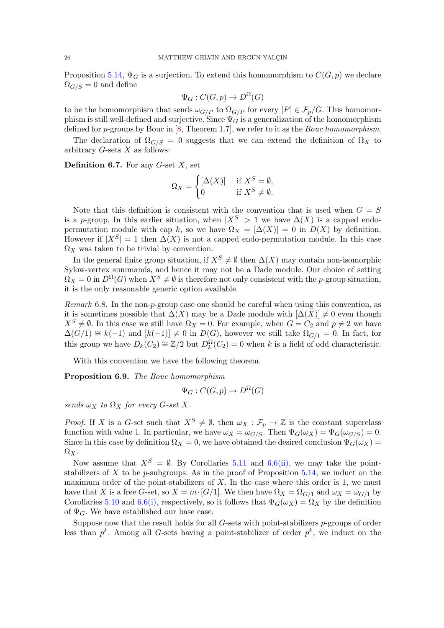Proposition [5.14,](#page-22-0)  $\overline{\Psi}_G$  is a surjection. To extend this homomorphism to  $C(G, p)$  we declare  $\Omega_{G/S} = 0$  and define

$$
\Psi_G : C(G, p) \to D^{\Omega}(G)
$$

to be the homomorphism that sends  $\omega_{G/P}$  to  $\Omega_{G/P}$  for every  $[P] \in \mathcal{F}_p/G$ . This homomorphism is still well-defined and surjective. Since  $\Psi_{G}$  is a generalization of the homomorphism defined for p-groups by Bouc in [\[8,](#page-39-7) Theorem 1.7], we refer to it as the Bouc homomorphism.

The declaration of  $\Omega_{G/S} = 0$  suggests that we can extend the definition of  $\Omega_X$  to arbitrary  $G$ -sets  $X$  as follows:

**Definition 6.7.** For any  $G$ -set  $X$ , set

$$
\Omega_X = \begin{cases} [\Delta(X)] & \text{if } X^S = \emptyset, \\ 0 & \text{if } X^S \neq \emptyset. \end{cases}
$$

Note that this definition is consistent with the convention that is used when  $G = S$ is a p-group. In this earlier situation, when  $|X^S| > 1$  we have  $\Delta(X)$  is a capped endopermutation module with cap k, so we have  $\Omega_X = [\Delta(X)] = 0$  in  $D(X)$  by definition. However if  $|X^S| = 1$  then  $\Delta(X)$  is not a capped endo-permutation module. In this case  $\Omega_X$  was taken to be trivial by convention.

In the general finite group situation, if  $X^S \neq \emptyset$  then  $\Delta(X)$  may contain non-isomorphic Sylow-vertex summands, and hence it may not be a Dade module. Our choice of setting  $\Omega_X = 0$  in  $D^{\Omega}(G)$  when  $X^S \neq \emptyset$  is therefore not only consistent with the *p*-group situation, it is the only reasonable generic option available.

Remark 6.8. In the non-p-group case one should be careful when using this convention, as it is sometimes possible that  $\Delta(X)$  may be a Dade module with  $[\Delta(X)] \neq 0$  even though  $X^S \neq \emptyset$ . In this case we still have  $\Omega_X = 0$ . For example, when  $G = C_2$  and  $p \neq 2$  we have  $\Delta(G/1) \cong k(-1)$  and  $[k(-1)] \neq 0$  in  $D(G)$ , however we still take  $\Omega_{G/1} = 0$ . In fact, for this group we have  $D_k(C_2) \cong \mathbb{Z}/2$  but  $D_k^{\Omega}(C_2) = 0$  when k is a field of odd characteristic.

With this convention we have the following theorem.

<span id="page-25-0"></span>Proposition 6.9. The Bouc homomorphism

$$
\Psi_G : C(G, p) \to D^{\Omega}(G)
$$

sends  $\omega_X$  to  $\Omega_X$  for every G-set X.

*Proof.* If X is a G-set such that  $X^S \neq \emptyset$ , then  $\omega_X : \mathcal{F}_p \to \mathbb{Z}$  is the constant superclass function with value 1. In particular, we have  $\omega_X = \omega_{G/S}$ . Then  $\Psi_G(\omega_X) = \Psi_G(\omega_{G/S}) = 0$ . Since in this case by definition  $\Omega_X = 0$ , we have obtained the desired conclusion  $\Psi_G(\omega_X) =$  $\Omega_X$ .

Now assume that  $X^S = \emptyset$ . By Corollaries [5.11](#page-20-2) and [6.6](#page-24-2)[\(ii\),](#page-24-3) we may take the pointstabilizers of X to be p-subgroups. As in the proof of Proposition  $5.14$ , we induct on the maximum order of the point-stabilizers of  $X$ . In the case where this order is 1, we must have that X is a free G-set, so  $X = m \cdot [G/1]$ . We then have  $\Omega_X = \Omega_{G/1}$  and  $\omega_X = \omega_{G/1}$  by Corollaries [5.10](#page-20-3) and [6.6](#page-24-2)[\(i\),](#page-24-4) respectively, so it follows that  $\Psi_G(\omega_X) = \Omega_X$  by the definition of  $\Psi_G$ . We have established our base case.

Suppose now that the result holds for all G-sets with point-stabilizers p-groups of order less than  $p^k$ . Among all G-sets having a point-stabilizer of order  $p^k$ , we induct on the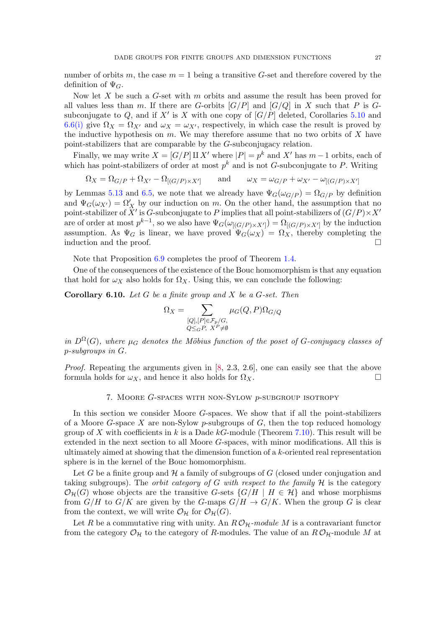number of orbits m, the case  $m = 1$  being a transitive G-set and therefore covered by the definition of  $\Psi_G$ .

Now let X be such a G-set with m orbits and assume the result has been proved for all values less than m. If there are G-orbits  $|G/P|$  and  $|G/Q|$  in X such that P is Gsubconjugate to Q, and if  $X'$  is X with one copy of  $[G/P]$  deleted, Corollaries [5.10](#page-20-3) and [6.6](#page-24-2)[\(i\)](#page-24-4) give  $\Omega_X = \Omega_{X'}$  and  $\omega_X = \omega_{X'}$ , respectively, in which case the result is proved by the inductive hypothesis on  $m$ . We may therefore assume that no two orbits of  $X$  have point-stabilizers that are comparable by the G-subconjugacy relation.

Finally, we may write  $X = [G/P] \amalg X'$  where  $|P| = p^k$  and X' has  $m-1$  orbits, each of which has point-stabilizers of order at most  $p^k$  and is not G-subconjugate to P. Writing

$$
\Omega_X = \Omega_{G/P} + \Omega_{X'} - \Omega_{[(G/P) \times X']} \quad \text{and} \quad \omega_X = \omega_{G/P} + \omega_{X'} - \omega_{[(G/P) \times X']}
$$

by Lemmas [5.13](#page-22-4) and [6.5,](#page-24-1) we note that we already have  $\Psi_G(\omega_{G/P}) = \Omega_{G/P}$  by definition and  $\Psi_G(\omega_{X'}) = \Omega'_X$  by our induction on m. On the other hand, the assumption that no point-stabilizer of  $\widetilde{X}'$  is G-subconjugate to P implies that all point-stabilizers of  $(G/P) \times X'$ are of order at most  $p^{k-1}$ , so we also have  $\Psi_G(\omega_{[(G/P)\times X']} ) = \Omega_{[(G/P)\times X']}$  by the induction assumption. As  $\Psi_G$  is linear, we have proved  $\Psi_G(\omega_X) = \Omega_X$ , thereby completing the induction and the proof.

Note that Proposition [6.9](#page-25-0) completes the proof of Theorem [1.4.](#page-2-0)

One of the consequences of the existence of the Bouc homomorphism is that any equation that hold for  $\omega_X$  also holds for  $\Omega_X$ . Using this, we can conclude the following:

**Corollary 6.10.** Let G be a finite group and X be a G-set. Then

$$
\Omega_X = \sum_{\substack{[Q], [P] \in \mathcal{F}_p/G, \\ Q \leq_G P, \ X^P \neq \emptyset}} \mu_G(Q, P) \Omega_{G/Q}
$$

in  $D^{\Omega}(G)$ , where  $\mu_G$  denotes the Möbius function of the poset of G-conjugacy classes of p-subgroups in G.

*Proof.* Repeating the arguments given in  $[8, 2.3, 2.6]$  $[8, 2.3, 2.6]$ , one can easily see that the above formula holds for  $\omega_X$ , and hence it also holds for  $\Omega_X$ .

## 7. Moore G-spaces with non-Sylow p-subgroup isotropy

<span id="page-26-0"></span>In this section we consider Moore G-spaces. We show that if all the point-stabilizers of a Moore G-space X are non-Sylow p-subgroups of  $G$ , then the top reduced homology group of X with coefficients in k is a Dade kG-module (Theorem [7.10\)](#page-29-0). This result will be extended in the next section to all Moore G-spaces, with minor modifications. All this is ultimately aimed at showing that the dimension function of a k-oriented real representation sphere is in the kernel of the Bouc homomorphism.

Let G be a finite group and  $\mathcal H$  a family of subgroups of G (closed under conjugation and taking subgroups). The *orbit category of G with respect to the family*  $H$  is the category  $\mathcal{O}_{\mathcal{H}}(G)$  whose objects are the transitive G-sets  $\{G/H \mid H \in \mathcal{H}\}\$ and whose morphisms from  $G/H$  to  $G/K$  are given by the G-maps  $G/H \to G/K$ . When the group G is clear from the context, we will write  $\mathcal{O}_{\mathcal{H}}$  for  $\mathcal{O}_{\mathcal{H}}(G)$ .

Let R be a commutative ring with unity. An  $R O_H$ -module M is a contravariant functor from the category  $\mathcal{O}_{\mathcal{H}}$  to the category of R-modules. The value of an  $R \mathcal{O}_{\mathcal{H}}$ -module M at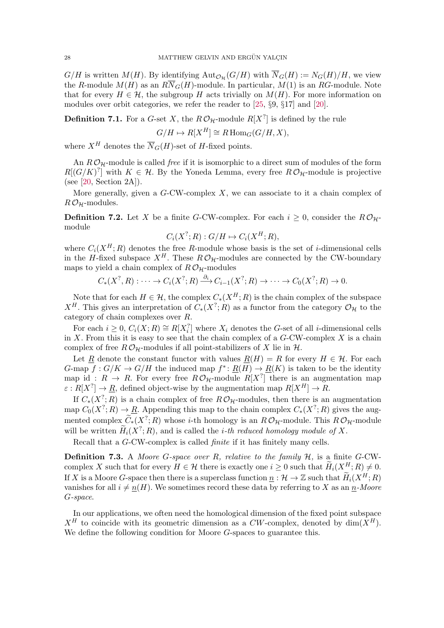$G/H$  is written  $M(H)$ . By identifying  ${\rm Aut}_{\mathcal{O}_H}(G/H)$  with  $\overline{N}_G(H) := N_G(H)/H$ , we view the R-module  $M(H)$  as an  $R\overline{N}_G(H)$ -module. In particular,  $M(1)$  is an RG-module. Note that for every  $H \in \mathcal{H}$ , the subgroup H acts trivially on  $M(H)$ . For more information on modules over orbit categories, we refer the reader to [\[25,](#page-39-19) §9, §17] and [\[20\]](#page-39-20).

**Definition 7.1.** For a G-set X, the  $R \mathcal{O}_{\mathcal{H}}$ -module  $R[X^?]$  is defined by the rule

 $G/H \mapsto R[X^H] \cong R\operatorname{Hom}_G(G/H, X),$ 

where  $X^H$  denotes the  $\overline{N}_G(H)$ -set of H-fixed points.

An  $R\mathcal{O}_H$ -module is called *free* if it is isomorphic to a direct sum of modules of the form  $R[(G/K)^{?}]$  with  $K \in \mathcal{H}$ . By the Yoneda Lemma, every free  $R\mathcal{O}_{\mathcal{H}}$ -module is projective (see [\[20,](#page-39-20) Section 2A]).

More generally, given a  $G$ -CW-complex  $X$ , we can associate to it a chain complex of  $R \mathcal{O}_H$ -modules.

**Definition 7.2.** Let X be a finite G-CW-complex. For each  $i > 0$ , consider the  $R O_{\mathcal{H}}$ module

$$
C_i(X^?; R) : G/H \mapsto C_i(X^H; R),
$$

where  $C_i(X^H; R)$  denotes the free R-module whose basis is the set of *i*-dimensional cells in the H-fixed subspace  $X^H$ . These  $R\mathcal{O}_H$ -modules are connected by the CW-boundary maps to yield a chain complex of  $R\,\mathcal{O}_H$ -modules

$$
C_*(X^?, R) : \cdots \to C_i(X^?, R) \xrightarrow{\partial_i} C_{i-1}(X^?, R) \to \cdots \to C_0(X^?, R) \to 0.
$$

Note that for each  $H \in \mathcal{H}$ , the complex  $C_*(X^H; R)$  is the chain complex of the subspace  $X^H$ . This gives an interpretation of  $C_*(X^?;R)$  as a functor from the category  $\mathcal{O}_{\mathcal{H}}$  to the category of chain complexes over R.

For each  $i \geq 0$ ,  $C_i(X; R) \cong R[X_i^?]$  where  $X_i$  denotes the G-set of all *i*-dimensional cells in  $X$ . From this it is easy to see that the chain complex of a  $G$ -CW-complex  $X$  is a chain complex of free  $R \mathcal{O}_H$ -modules if all point-stabilizers of X lie in  $\mathcal{H}$ .

Let <u>R</u> denote the constant functor with values  $R(H) = R$  for every  $H \in \mathcal{H}$ . For each G-map  $f: G/K \to G/H$  the induced map  $f^*: \underline{R}(H) \to \underline{R}(K)$  is taken to be the identity map id :  $R \to R$ . For every free  $R \mathcal{O}_{\mathcal{H}}$ -module  $R[X^?]$  there is an augmentation map  $\varepsilon: R[X^?] \to \underline{R}$ , defined object-wise by the augmentation map  $R[X^H] \to R$ .

If  $C_*(X^?;R)$  is a chain complex of free  $R\mathcal{O}_{\mathcal{H}}$ -modules, then there is an augmentation map  $C_0(X^?; R) \to \underline{R}$ . Appending this map to the chain complex  $C_*(X^?; R)$  gives the augmented complex  $\widetilde{C}_*(X^?; R)$  whose *i*-th homology is an  $R\mathcal{O}_\mathcal{H}$ -module. This  $R\mathcal{O}_\mathcal{H}$ -module will be written  $\widetilde{H}_i(X^?;R)$ , and is called the *i*-th reduced homology module of X.

Recall that a G-CW-complex is called finite if it has finitely many cells.

**Definition 7.3.** A Moore G-space over R, relative to the family  $H$ , is a finite G-CWcomplex X such that for every  $H \in \mathcal{H}$  there is exactly one  $i \geq 0$  such that  $\widetilde{H}_i(X^H; R) \neq 0$ . If X is a Moore G-space then there is a superclass function  $n : \mathcal{H} \to \mathbb{Z}$  such that  $\widetilde{H}_i(X^H; R)$ vanishes for all  $i \neq n(H)$ . We sometimes record these data by referring to X as an n-Moore G-space.

In our applications, we often need the homological dimension of the fixed point subspace  $X^H$  to coincide with its geometric dimension as a CW-complex, denoted by dim( $X^H$ ). We define the following condition for Moore G-spaces to guarantee this.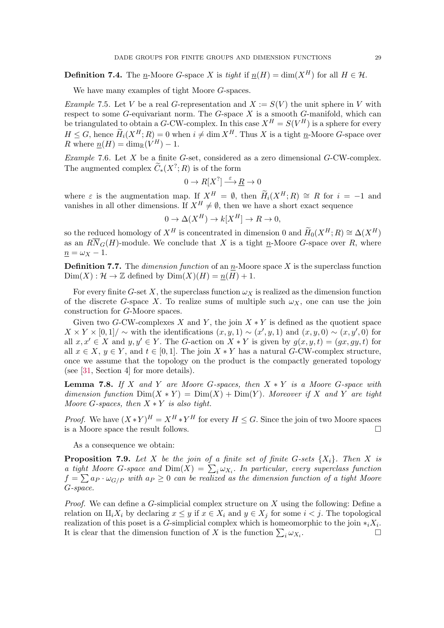**Definition 7.4.** The n-Moore G-space X is tight if  $\underline{n}(H) = \dim(X^H)$  for all  $H \in \mathcal{H}$ .

We have many examples of tight Moore *G*-spaces.

*Example* 7.5. Let V be a real G-representation and  $X := S(V)$  the unit sphere in V with respect to some  $G$ -equivariant norm. The  $G$ -space  $X$  is a smooth  $G$ -manifold, which can be triangulated to obtain a G-CW-complex. In this case  $X^H = S(V^H)$  is a sphere for every  $H \leq G$ , hence  $\widetilde{H}_i(X^H;R) = 0$  when  $i \neq \dim X^H$ . Thus X is a tight n-Moore G-space over R where  $\underline{n}(H) = \dim_{\mathbb{R}}(V^H) - 1$ .

Example 7.6. Let  $X$  be a finite G-set, considered as a zero dimensional G-CW-complex. The augmented complex  $\widetilde{C}_*(X^?;R)$  is of the form

$$
0 \to R[X^?] \stackrel{\varepsilon}{\longrightarrow} \underline{R} \to 0
$$

where  $\varepsilon$  is the augmentation map. If  $X^H = \emptyset$ , then  $\widetilde{H}_i(X^H; R) \cong R$  for  $i = -1$  and vanishes in all other dimensions. If  $X^H \neq \emptyset$ , then we have a short exact sequence

$$
0 \to \Delta(X^H) \to k[X^H] \to R \to 0,
$$

so the reduced homology of  $X^H$  is concentrated in dimension 0 and  $\widetilde{H}_0(X^H; R) \cong \Delta(X^H)$ as an  $R\overline{N}_G(H)$ -module. We conclude that X is a tight n-Moore G-space over R, where  $n = \omega_X - 1.$ 

<span id="page-28-0"></span>**Definition 7.7.** The *dimension function* of an *n*-Moore space  $X$  is the superclass function  $\text{Dim}(X): \mathcal{H} \to \mathbb{Z}$  defined by  $\text{Dim}(X)(H) = n(H) + 1$ .

For every finite G-set X, the superclass function  $\omega_X$  is realized as the dimension function of the discrete G-space X. To realize sums of multiple such  $\omega_X$ , one can use the join construction for G-Moore spaces.

Given two G-CW-complexes X and Y, the join  $X * Y$  is defined as the quotient space  $X \times Y \times [0,1] / \sim$  with the identifications  $(x, y, 1) \sim (x', y, 1)$  and  $(x, y, 0) \sim (x, y', 0)$  for all  $x, x' \in X$  and  $y, y' \in Y$ . The G-action on  $X * Y$  is given by  $g(x, y, t) = (gx, gy, t)$  for all  $x \in X$ ,  $y \in Y$ , and  $t \in [0, 1]$ . The join  $X * Y$  has a natural G-CW-complex structure, once we assume that the topology on the product is the compactly generated topology (see [\[31,](#page-39-8) Section 4] for more details).

**Lemma 7.8.** If X and Y are Moore G-spaces, then  $X * Y$  is a Moore G-space with dimension function  $\text{Dim}(X * Y) = \text{Dim}(X) + \text{Dim}(Y)$ . Moreover if X and Y are tight Moore G-spaces, then  $X * Y$  is also tight.

*Proof.* We have  $(X * Y)^H = X^H * Y^H$  for every  $H \leq G$ . Since the join of two Moore spaces is a Moore space the result follows.

As a consequence we obtain:

**Proposition 7.9.** Let X be the join of a finite set of finite G-sets  $\{X_i\}$ . Then X is a tight Moore G-space and  $\text{Dim}(X) = \sum_i \omega_{X_i}$ . In particular, every superclass function  $f = \sum a_P \cdot \omega_{G/P}$  with  $a_P \ge 0$  can be realized as the dimension function of a tight Moore G-space.

*Proof.* We can define a  $G$ -simplicial complex structure on  $X$  using the following: Define a relation on  $\prod_i X_i$  by declaring  $x \leq y$  if  $x \in X_i$  and  $y \in X_j$  for some  $i < j$ . The topological realization of this poset is a G-simplicial complex which is homeomorphic to the join  $*_i X_i$ . It is clear that the dimension function of X is the function  $\sum_i \omega_{X_i}$ .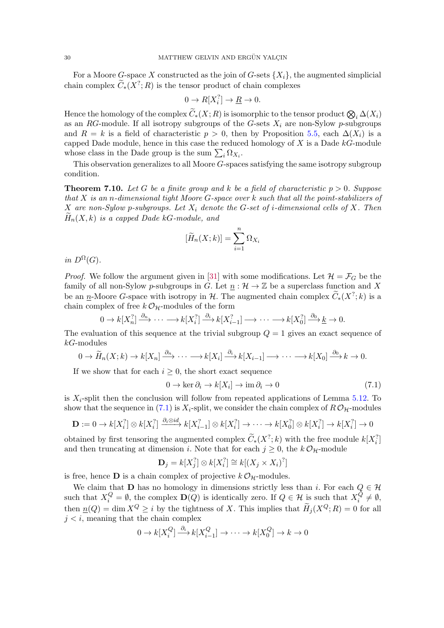For a Moore G-space X constructed as the join of G-sets  $\{X_i\}$ , the augmented simplicial chain complex  $\widetilde{C}_*(X^?;R)$  is the tensor product of chain complexes

$$
0 \to R[X_i^?] \to \underline{R} \to 0.
$$

Hence the homology of the complex  $C_*(X;R)$  is isomorphic to the tensor product  $\bigotimes_i \Delta(X_i)$ as an RG-module. If all isotropy subgroups of the G-sets  $X_i$  are non-Sylow p-subgroups and  $R = k$  is a field of characteristic  $p > 0$ , then by Proposition [5.5,](#page-18-0) each  $\Delta(X_i)$  is a capped Dade module, hence in this case the reduced homology of  $X$  is a Dade  $kG$ -module whose class in the Dade group is the sum  $\sum_i \Omega_{X_i}$ .

This observation generalizes to all Moore G-spaces satisfying the same isotropy subgroup condition.

<span id="page-29-0"></span>**Theorem 7.10.** Let G be a finite group and k be a field of characteristic  $p > 0$ . Suppose that  $X$  is an n-dimensional tight Moore G-space over  $k$  such that all the point-stabilizers of X are non-Sylow p-subgroups. Let  $X_i$  denote the G-set of *i*-dimensional cells of X. Then  $H_n(X, k)$  is a capped Dade kG-module, and

$$
[\widetilde{H}_n(X;k)] = \sum_{i=1}^n \Omega_{X_i}
$$

in  $D^{\Omega}(G)$ .

*Proof.* We follow the argument given in [\[31\]](#page-39-8) with some modifications. Let  $\mathcal{H} = \mathcal{F}_G$  be the family of all non-Sylow p-subgroups in G. Let  $\underline{n} : \mathcal{H} \to \mathbb{Z}$  be a superclass function and X be an n-Moore G-space with isotropy in H. The augmented chain complex  $\widetilde{C}_*(X^?; k)$  is a chain complex of free  $k \mathcal{O}_{\mathcal{H}}$ -modules of the form

$$
0 \to k[X_n^?] \xrightarrow{\partial_n} \cdots \longrightarrow k[X_i^?] \xrightarrow{\partial_i} k[X_{i-1}^?] \longrightarrow \cdots \longrightarrow k[X_0^?] \xrightarrow{\partial_0} \underline{k} \to 0.
$$

The evaluation of this sequence at the trivial subgroup  $Q = 1$  gives an exact sequence of  $kG$ -modules

$$
0 \to \widetilde{H}_n(X;k) \to k[X_n] \xrightarrow{\partial_n} \cdots \longrightarrow k[X_i] \xrightarrow{\partial_i} k[X_{i-1}] \longrightarrow \cdots \longrightarrow k[X_0] \xrightarrow{\partial_0} k \to 0.
$$

If we show that for each  $i \geq 0$ , the short exact sequence

<span id="page-29-1"></span>
$$
0 \to \ker \partial_i \to k[X_i] \to \mathrm{im}\,\partial_i \to 0 \tag{7.1}
$$

is  $X_i$ -split then the conclusion will follow from repeated applications of Lemma [5.12.](#page-21-0) To show that the sequence in [\(7.1\)](#page-29-1) is  $X_i$ -split, we consider the chain complex of  $R \mathcal{O}_{\mathcal{H}}$ -modules

$$
\mathbf{D} := 0 \to k[X_i^?] \otimes k[X_i^?] \xrightarrow{\partial_i \otimes id} k[X_{i-1}^?] \otimes k[X_i^?] \to \cdots \to k[X_0^?] \otimes k[X_i^?] \to k[X_i^?] \to 0
$$

obtained by first tensoring the augmented complex  $\widetilde{C}_*(X^?; k)$  with the free module  $k[X_i^?]$ and then truncating at dimension *i*. Note that for each  $j \geq 0$ , the  $k \mathcal{O}_{\mathcal{H}}$ -module

$$
\mathbf{D}_j = k[X_j^?] \otimes k[X_i^?] \cong k[(X_j \times X_i)^?]
$$

is free, hence **D** is a chain complex of projective  $k \mathcal{O}_{\mathcal{H}}$ -modules.

We claim that **D** has no homology in dimensions strictly less than i. For each  $Q \in \mathcal{H}$ such that  $X_i^Q = \emptyset$ , the complex  $\mathbf{D}(Q)$  is identically zero. If  $Q \in \mathcal{H}$  is such that  $X_i^Q$  $i^{\mathcal{Q}} \neq \emptyset,$ then  $\underline{n}(Q) = \dim X^Q \geq i$  by the tightness of X. This implies that  $\widetilde{H}_j(X^Q; R) = 0$  for all  $j < i$ , meaning that the chain complex

$$
0 \to k[X_i^Q] \xrightarrow{\partial_i} k[X_{i-1}^Q] \to \cdots \to k[X_0^Q] \to k \to 0
$$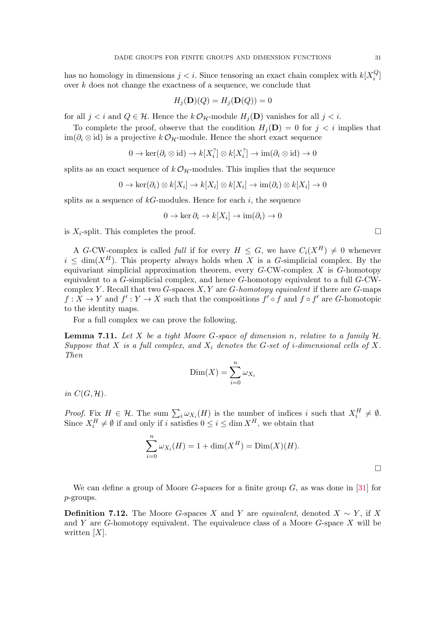has no homology in dimensions  $j < i$ . Since tensoring an exact chain complex with  $k[X_i^Q]$  $\binom{Q}{i}$ over k does not change the exactness of a sequence, we conclude that

$$
H_j(\mathbf{D})(Q) = H_j(\mathbf{D}(Q)) = 0
$$

for all  $j < i$  and  $Q \in \mathcal{H}$ . Hence the  $k \mathcal{O}_{\mathcal{H}}$ -module  $H_i(\mathbf{D})$  vanishes for all  $j < i$ .

To complete the proof, observe that the condition  $H_i(\mathbf{D}) = 0$  for  $j < i$  implies that im( $\partial_i \otimes id$ ) is a projective  $k \mathcal{O}_{\mathcal{H}}$ -module. Hence the short exact sequence

$$
0 \to \ker(\partial_i \otimes id) \to k[X_i^?] \otimes k[X_i^?] \to \text{im}(\partial_i \otimes id) \to 0
$$

splits as an exact sequence of  $k\mathcal{O}_H$ -modules. This implies that the sequence

$$
0 \to \ker(\partial_i) \otimes k[X_i] \to k[X_i] \otimes k[X_i] \to \operatorname{im}(\partial_i) \otimes k[X_i] \to 0
$$

splits as a sequence of  $kG$ -modules. Hence for each i, the sequence

$$
0 \to \ker \partial_i \to k[X_i] \to \operatorname{im}(\partial_i) \to 0
$$

is  $X_i$ -split. This completes the proof.

A G-CW-complex is called full if for every  $H \leq G$ , we have  $C_i(X^H) \neq 0$  whenever  $i \leq \dim(X^H)$ . This property always holds when X is a G-simplicial complex. By the equivariant simplicial approximation theorem, every  $G$ -CW-complex  $X$  is  $G$ -homotopy equivalent to a G-simplicial complex, and hence G-homotopy equivalent to a full G-CWcomplex Y. Recall that two G-spaces  $X, Y$  are G-homotopy equivalent if there are G-maps  $f: X \to Y$  and  $f': Y \to X$  such that the compositions  $f' \circ f$  and  $f \circ f'$  are G-homotopic to the identity maps.

For a full complex we can prove the following.

<span id="page-30-0"></span>**Lemma 7.11.** Let X be a tight Moore G-space of dimension n, relative to a family  $H$ . Suppose that X is a full complex, and  $X_i$  denotes the G-set of *i*-dimensional cells of X. Then

$$
\text{Dim}(X) = \sum_{i=0}^{n} \omega_{X_i}
$$

in  $C(G, \mathcal{H})$ .

*Proof.* Fix  $H \in \mathcal{H}$ . The sum  $\sum_i \omega_{X_i}(H)$  is the number of indices i such that  $X_i^H \neq \emptyset$ . Since  $X_i^H \neq \emptyset$  if and only if i satisfies  $0 \leq i \leq \dim X^H$ , we obtain that

$$
\sum_{i=0}^{n} \omega_{X_i}(H) = 1 + \dim(X^H) = \text{Dim}(X)(H).
$$

We can define a group of Moore  $G$ -spaces for a finite group  $G$ , as was done in [\[31\]](#page-39-8) for p-groups.

**Definition 7.12.** The Moore G-spaces X and Y are *equivalent*, denoted  $X \sim Y$ , if X and Y are G-homotopy equivalent. The equivalence class of a Moore  $G$ -space X will be written  $[X]$ .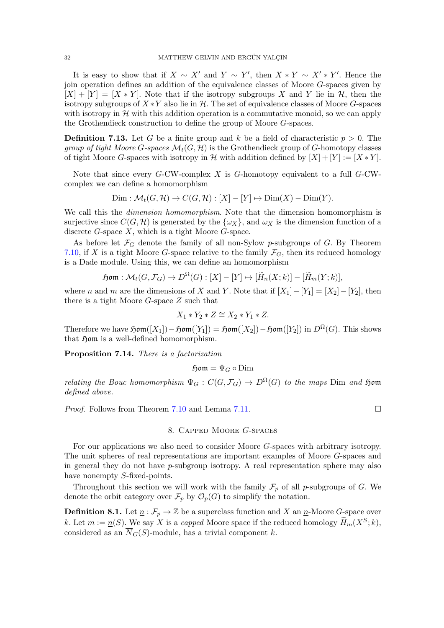It is easy to show that if  $X \sim X'$  and  $Y \sim Y'$ , then  $X * Y \sim X' * Y'$ . Hence the join operation defines an addition of the equivalence classes of Moore G-spaces given by  $[X] + [Y] = [X * Y]$ . Note that if the isotropy subgroups X and Y lie in H, then the isotropy subgroups of  $X * Y$  also lie in H. The set of equivalence classes of Moore G-spaces with isotropy in  $H$  with this addition operation is a commutative monoid, so we can apply the Grothendieck construction to define the group of Moore G-spaces.

**Definition 7.13.** Let G be a finite group and k be a field of characteristic  $p > 0$ . The *group of tight Moore G-spaces*  $\mathcal{M}_t(G, \mathcal{H})$  is the Grothendieck group of G-homotopy classes of tight Moore G-spaces with isotropy in H with addition defined by  $[X] + [Y] := [X * Y]$ .

Note that since every  $G$ -CW-complex X is  $G$ -homotopy equivalent to a full  $G$ -CWcomplex we can define a homomorphism

$$
Dim: \mathcal{M}_t(G, \mathcal{H}) \to C(G, \mathcal{H}): [X] - [Y] \mapsto Dim(X) - Dim(Y).
$$

We call this the dimension homomorphism. Note that the dimension homomorphism is surjective since  $C(G, \mathcal{H})$  is generated by the  $\{\omega_X\}$ , and  $\omega_X$  is the dimension function of a discrete  $G$ -space  $X$ , which is a tight Moore  $G$ -space.

As before let  $\mathcal{F}_G$  denote the family of all non-Sylow p-subgroups of G. By Theorem [7.10,](#page-29-0) if X is a tight Moore G-space relative to the family  $\mathcal{F}_G$ , then its reduced homology is a Dade module. Using this, we can define an homomorphism

$$
\mathfrak{Hom}: \mathcal{M}_t(G, \mathcal{F}_G) \to D^{\Omega}(G): [X] - [Y] \mapsto [\widetilde{H}_n(X; k)] - [\widetilde{H}_m(Y; k)],
$$

where n and m are the dimensions of X and Y. Note that if  $[X_1]-[Y_1] = [X_2]-[Y_2]$ , then there is a tight Moore G-space Z such that

$$
X_1 * Y_2 * Z \cong X_2 * Y_1 * Z.
$$

Therefore we have  $\mathfrak{Hom}([X_1])-\mathfrak{Hom}([Y_1])=\mathfrak{Hom}([X_2])-\mathfrak{Hom}([Y_2])$  in  $D^{\Omega}(G)$ . This shows that  $\mathfrak{Hom}$  is a well-defined homomorphism.

Proposition 7.14. There is a factorization

$$
\mathfrak{Hom}=\Psi_G\circ\operatorname{Dim}
$$

relating the Bouc homomorphism  $\Psi_G : C(G, \mathcal{F}_G) \to D^{\Omega}(G)$  to the maps Dim and  $\mathfrak{Hom}$ defined above.

<span id="page-31-0"></span>Proof. Follows from Theorem [7.10](#page-29-0) and Lemma [7.11.](#page-30-0)

# 8. Capped Moore G-spaces

For our applications we also need to consider Moore G-spaces with arbitrary isotropy. The unit spheres of real representations are important examples of Moore G-spaces and in general they do not have p-subgroup isotropy. A real representation sphere may also have nonempty S-fixed-points.

Throughout this section we will work with the family  $\mathcal{F}_p$  of all p-subgroups of G. We denote the orbit category over  $\mathcal{F}_p$  by  $\mathcal{O}_p(G)$  to simplify the notation.

**Definition 8.1.** Let  $\underline{n} : \mathcal{F}_p \to \mathbb{Z}$  be a superclass function and X an  $\underline{n}$ -Moore G-space over k. Let  $m := \underline{n}(S)$ . We say X is a *capped* Moore space if the reduced homology  $\widetilde{H}_m(X^S; k)$ , considered as an  $\overline{N}_G(S)$ -module, has a trivial component k.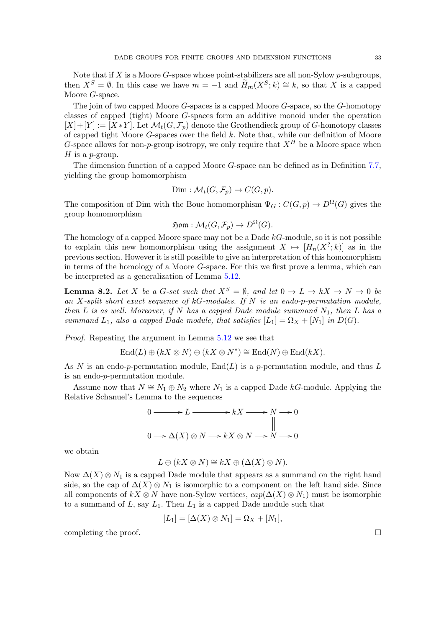Note that if X is a Moore G-space whose point-stabilizers are all non-Sylow  $p$ -subgroups, then  $X^S = \emptyset$ . In this case we have  $m = -1$  and  $\widetilde{H}_m(X^S; k) \cong k$ , so that X is a capped Moore G-space.

The join of two capped Moore G-spaces is a capped Moore G-space, so the G-homotopy classes of capped (tight) Moore G-spaces form an additive monoid under the operation  $[X]+[Y] := [X * Y]$ . Let  $\mathcal{M}_t(G, \mathcal{F}_p)$  denote the Grothendieck group of G-homotopy classes of capped tight Moore  $G$ -spaces over the field  $k$ . Note that, while our definition of Moore  $G$ -space allows for non-p-group isotropy, we only require that  $X^H$  be a Moore space when H is a *p*-group.

The dimension function of a capped Moore G-space can be defined as in Definition [7.7,](#page-28-0) yielding the group homomorphism

$$
Dim: \mathcal{M}_t(G, \mathcal{F}_p) \to C(G, p).
$$

The composition of Dim with the Bouc homomorphism  $\Psi_G : C(G,p) \to D^{\Omega}(G)$  gives the group homomorphism

$$
\mathfrak{Hom}: \mathcal M_t(G,\mathcal F_p)\to D^{\Omega}(G).
$$

The homology of a capped Moore space may not be a Dade  $kG$ -module, so it is not possible to explain this new homomorphism using the assignment  $X \mapsto [H_n(X^?; k)]$  as in the previous section. However it is still possible to give an interpretation of this homomorphism in terms of the homology of a Moore G-space. For this we first prove a lemma, which can be interpreted as a generalization of Lemma [5.12.](#page-21-0)

<span id="page-32-0"></span>**Lemma 8.2.** Let X be a G-set such that  $X^S = \emptyset$ , and let  $0 \to L \to kX \to N \to 0$  be an X-split short exact sequence of  $kG$ -modules. If N is an endo-p-permutation module, then L is as well. Moreover, if N has a capped Dade module summand  $N_1$ , then L has a summand  $L_1$ , also a capped Dade module, that satisfies  $[L_1] = \Omega_X + [N_1]$  in  $D(G)$ .

Proof. Repeating the argument in Lemma [5.12](#page-21-0) we see that

$$
End(L) \oplus (kX \otimes N) \oplus (kX \otimes N^*) \cong End(N) \oplus End(kX).
$$

As N is an endo-p-permutation module,  $\text{End}(L)$  is a p-permutation module, and thus L is an endo-p-permutation module.

Assume now that  $N \cong N_1 \oplus N_2$  where  $N_1$  is a capped Dade kG-module. Applying the Relative Schanuel's Lemma to the sequences

$$
0 \longrightarrow L \longrightarrow kX \longrightarrow N \longrightarrow 0
$$
  

$$
0 \longrightarrow \Delta(X) \otimes N \longrightarrow kX \otimes N \longrightarrow N \longrightarrow 0
$$

we obtain

 $L \oplus (kX \otimes N) \cong kX \oplus (\Delta(X) \otimes N).$ 

Now  $\Delta(X) \otimes N_1$  is a capped Dade module that appears as a summand on the right hand side, so the cap of  $\Delta(X) \otimes N_1$  is isomorphic to a component on the left hand side. Since all components of  $kX \otimes N$  have non-Sylow vertices,  $cap(\Delta(X) \otimes N_1)$  must be isomorphic to a summand of L, say  $L_1$ . Then  $L_1$  is a capped Dade module such that

$$
[L_1] = [\Delta(X) \otimes N_1] = \Omega_X + [N_1],
$$

completing the proof.  $\Box$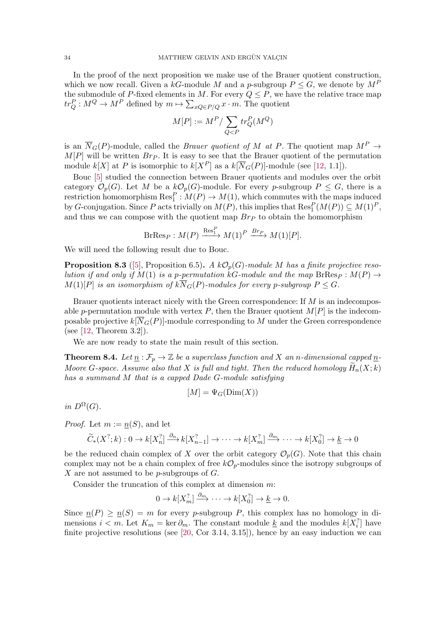In the proof of the next proposition we make use of the Brauer quotient construction, which we now recall. Given a kG-module M and a p-subgroup  $P \leq G$ , we denote by  $M^P$ the submodule of P-fixed elements in M. For every  $Q \leq P$ , we have the relative trace map  $tr_Q^P: M^Q \to M^P$  defined by  $m \mapsto \sum_{xQ \in P/Q} x \cdot m$ . The quotient

$$
M[P] := M^P / \sum_{Q < P} tr_Q^P(M^Q)
$$

is an  $\overline{N}_G(P)$ -module, called the *Brauer quotient of* M at P. The quotient map  $M^P \rightarrow$  $M[P]$  will be written  $Br_P$ . It is easy to see that the Brauer quotient of the permutation module  $k[X]$  at P is isomorphic to  $k[X^P]$  as a  $k[\overline{N}_G(P)]$ -module (see [\[12,](#page-39-21) 1.1]).

Bouc [\[5\]](#page-39-22) studied the connection between Brauer quotients and modules over the orbit category  $\mathcal{O}_p(G)$ . Let M be a  $k\mathcal{O}_p(G)$ -module. For every p-subgroup  $P \leq G$ , there is a restriction homomorphism  $\text{Res}_{1}^{P}: M(P) \to M(1)$ , which commutes with the maps induced by G-conjugation. Since P acts trivially on  $M(P)$ , this implies that  $\text{Res}^P_1(M(P)) \subseteq M(1)^P$ , and thus we can compose with the quotient map  $Br_P$  to obtain the homomorphism

$$
\text{BrRes}_P: M(P) \xrightarrow{\text{Res}_1^P} M(1)^P \xrightarrow{\text{Br}_P} M(1)[P].
$$

We will need the following result due to Bouc.

<span id="page-33-1"></span>**Proposition 8.3** ([\[5\]](#page-39-22), Proposition 6.5). A  $k\mathcal{O}_p(G)$ -module M has a finite projective resolution if and only if  $M(1)$  is a p-permutation kG-module and the map  $BrRes_P : M(P) \rightarrow$  $M(1)[P]$  is an isomorphism of  $k\overline{N}_G(P)$ -modules for every p-subgroup  $P \leq G$ .

Brauer quotients interact nicely with the Green correspondence: If M is an indecomposable p-permutation module with vertex P, then the Brauer quotient  $M[P]$  is the indecomposable projective  $k[\overline{N}_G(P)]$ -module corresponding to M under the Green correspondence (see [\[12,](#page-39-21) Theorem 3.2]).

We are now ready to state the main result of this section.

<span id="page-33-0"></span>**Theorem 8.4.** Let  $\underline{n} : \mathcal{F}_p \to \mathbb{Z}$  be a superclass function and X an n-dimensional capped  $\underline{n}$ -Moore G-space. Assume also that X is full and tight. Then the reduced homology  $\widetilde{H}_n(X; k)$ has a summand M that is a capped Dade G-module satisfying

$$
[M] = \Psi_G(\text{Dim}(X))
$$

in  $D^{\Omega}(G)$ .

*Proof.* Let  $m := n(S)$ , and let

$$
\widetilde{C}_*(X^?; k) : 0 \to k[X_n^?] \xrightarrow{\partial_n} k[X_{n-1}^?] \to \cdots \to k[X_m^?] \xrightarrow{\partial_m} \cdots \to k[X_0^?] \to \underline{k} \to 0
$$

be the reduced chain complex of X over the orbit category  $\mathcal{O}_n(G)$ . Note that this chain complex may not be a chain complex of free  $k\mathcal{O}_p$ -modules since the isotropy subgroups of X are not assumed to be  $p$ -subgroups of  $G$ .

Consider the truncation of this complex at dimension m:

$$
0 \to k[X_m^?] \xrightarrow{\partial m} \cdots \to k[X_0^?] \to \underline{k} \to 0.
$$

Since  $\underline{n}(P) \ge \underline{n}(S) = m$  for every p-subgroup P, this complex has no homology in dimensions  $i < m$ . Let  $K_m = \ker \partial_m$ . The constant module  $\underline{k}$  and the modules  $k[X_i^2]$  have finite projective resolutions (see [\[20,](#page-39-20) Cor 3.14, 3.15]), hence by an easy induction we can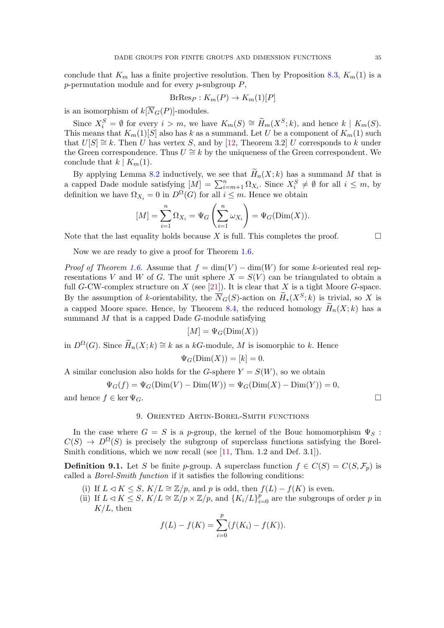conclude that  $K_m$  has a finite projective resolution. Then by Proposition [8.3,](#page-33-1)  $K_m(1)$  is a p-permutation module and for every  $p$ -subgroup  $P$ ,

$$
\operatorname{BrRes}_P: K_m(P) \to K_m(1)[P]
$$

is an isomorphism of  $k[\overline{N}_G(P)]$ -modules.

Since  $X_i^S = \emptyset$  for every  $i > m$ , we have  $K_m(S) \cong \widetilde{H}_m(X^S; k)$ , and hence  $k \mid K_m(S)$ . This means that  $K_m(1)[S]$  also has k as a summand. Let U be a component of  $K_m(1)$  such that  $U[S] \cong k$ . Then U has vertex S, and by [\[12,](#page-39-21) Theorem 3.2] U corresponds to k under the Green correspondence. Thus  $U \cong k$  by the uniqueness of the Green correspondent. We conclude that  $k \mid K_m(1)$ .

By applying Lemma [8.2](#page-32-0) inductively, we see that  $H_n(X; k)$  has a summand M that is a capped Dade module satisfying  $[M] = \sum_{i=m+1}^{n} \Omega_{X_i}$ . Since  $X_i^S \neq \emptyset$  for all  $i \leq m$ , by definition we have  $\Omega_{X_i} = 0$  in  $D^{\Omega}(G)$  for all  $i \leq m$ . Hence we obtain

$$
[M] = \sum_{i=1}^{n} \Omega_{X_i} = \Psi_G\left(\sum_{i=1}^{n} \omega_{X_i}\right) = \Psi_G(\text{Dim}(X)).
$$

Note that the last equality holds because X is full. This completes the proof.  $\Box$ 

Now we are ready to give a proof for Theorem [1.6.](#page-3-0)

*Proof of Theorem [1.6.](#page-3-0)* Assume that  $f = \dim(V) - \dim(W)$  for some k-oriented real representations V and W of G. The unit sphere  $X = S(V)$  can be triangulated to obtain a full G-CW-complex structure on  $X$  (see [\[21\]](#page-39-23)). It is clear that  $X$  is a tight Moore G-space. By the assumption of k-orientability, the  $\overline{N}_G(S)$ -action on  $\widetilde{H}_*(X^S; k)$  is trivial, so X is a capped Moore space. Hence, by Theorem [8.4,](#page-33-0) the reduced homology  $\widetilde{H}_n(X;k)$  has a summand  $M$  that is a capped Dade  $G$ -module satisfying

$$
[M] = \Psi_G(\text{Dim}(X))
$$

in  $D^{\Omega}(G)$ . Since  $\widetilde{H}_n(X;k) \cong k$  as a kG-module, M is isomorphic to k. Hence

$$
\Psi_G(\text{Dim}(X)) = [k] = 0.
$$

A similar conclusion also holds for the G-sphere  $Y = S(W)$ , so we obtain

$$
\Psi_G(f) = \Psi_G(\text{Dim}(V) - \text{Dim}(W)) = \Psi_G(\text{Dim}(X) - \text{Dim}(Y)) = 0,
$$

<span id="page-34-1"></span>and hence  $f \in \ker \Psi_G$ .

## 9. Oriented Artin-Borel-Smith functions

In the case where  $G = S$  is a p-group, the kernel of the Bouc homomorphism  $\Psi_S$ :  $C(S) \rightarrow D^{\Omega}(S)$  is precisely the subgroup of superclass functions satisfying the Borel-Smith conditions, which we now recall (see [\[11,](#page-39-24) Thm. 1.2 and Def. 3.1]).

<span id="page-34-0"></span>**Definition 9.1.** Let S be finite p-group. A superclass function  $f \in C(S) = C(S, \mathcal{F}_p)$  is called a Borel-Smith function if it satisfies the following conditions:

- (i) If  $L \triangleleft K \leq S$ ,  $K/L \cong \mathbb{Z}/p$ , and p is odd, then  $f(L) f(K)$  is even.
- <span id="page-34-2"></span>(ii) If  $L \lhd K \leq S$ ,  $K/L \cong \mathbb{Z}/p \times \mathbb{Z}/p$ , and  $\{K_i/L\}_{i=0}^p$  are the subgroups of order p in  $K/L$ , then

$$
f(L) - f(K) = \sum_{i=0}^{p} (f(K_i) - f(K)).
$$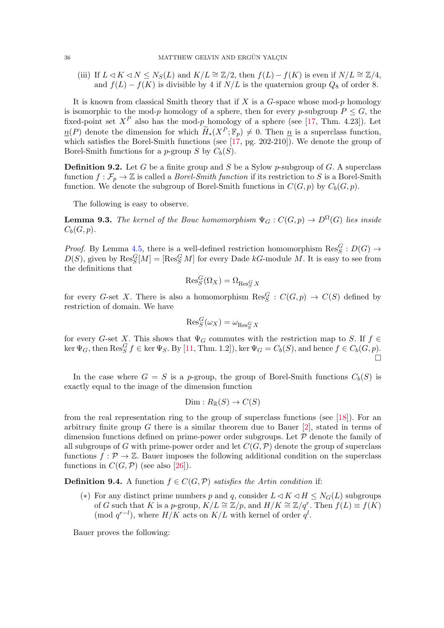(iii) If  $L \lhd K \lhd N \le N_S(L)$  and  $K/L \cong \mathbb{Z}/2$ , then  $f(L) - f(K)$  is even if  $N/L \cong \mathbb{Z}/4$ , and  $f(L) - f(K)$  is divisible by 4 if  $N/L$  is the quaternion group  $Q_8$  of order 8.

It is known from classical Smith theory that if  $X$  is a  $G$ -space whose mod-p homology is isomorphic to the mod-p homology of a sphere, then for every p-subgroup  $P \leq G$ , the fixed-point set  $X^P$  also has the mod-p homology of a sphere (see [\[17,](#page-39-25) Thm. 4.23]). Let  $\underline{n}(P)$  denote the dimension for which  $\widetilde{H}_*(X^P; \mathbb{F}_p) \neq 0$ . Then  $\underline{n}$  is a superclass function, which satisfies the Borel-Smith functions (see [\[17,](#page-39-25) pg. 202-210]). We denote the group of Borel-Smith functions for a *p*-group S by  $C_b(S)$ .

**Definition 9.2.** Let G be a finite group and S be a Sylow p-subgroup of G. A superclass function  $f : \mathcal{F}_n \to \mathbb{Z}$  is called a *Borel-Smith function* if its restriction to S is a Borel-Smith function. We denote the subgroup of Borel-Smith functions in  $C(G, p)$  by  $C_b(G, p)$ .

The following is easy to observe.

<span id="page-35-1"></span>**Lemma 9.3.** The kernel of the Bouc homomorphism  $\Psi_G : C(G, p) \to D^{\Omega}(G)$  lies inside  $C_b(G, p)$ .

*Proof.* By Lemma [4.5,](#page-15-0) there is a well-defined restriction homomorphism  $\text{Res}_{S}^{G}: D(G) \rightarrow$  $D(S)$ , given by  $\text{Res}_{S}^{G}[M] = [\text{Res}_{S}^{G} M]$  for every Dade kG-module M. It is easy to see from the definitions that

$$
\operatorname{Res}_{S}^{G}(\Omega_{X}) = \Omega_{\operatorname{Res}_{S}^{G} X}
$$

for every G-set X. There is also a homomorphism  $\text{Res}_{S}^{G}: C(G,p) \to C(S)$  defined by restriction of domain. We have

$$
\operatorname{Res}_S^G(\omega_X) = \omega_{\operatorname{Res}_S^G X}
$$

for every G-set X. This shows that  $\Psi_G$  commutes with the restriction map to S. If  $f \in$  $\ker \Psi_G$ , then  $\text{Res}_S^G f \in \ker \Psi_S$ . By [\[11,](#page-39-24) Thm. 1.2]),  $\ker \Psi_G = C_b(S)$ , and hence  $f \in C_b(G, p)$ .  $\sum_{i=1}^{n}$ 

In the case where  $G = S$  is a p-group, the group of Borel-Smith functions  $C_b(S)$  is exactly equal to the image of the dimension function

$$
\text{Dim}: R_{\mathbb{R}}(S) \to C(S)
$$

from the real representation ring to the group of superclass functions (see [\[18\]](#page-39-26)). For an arbitrary finite group  $G$  there is a similar theorem due to Bauer [\[2\]](#page-38-0), stated in terms of dimension functions defined on prime-power order subgroups. Let  $P$  denote the family of all subgroups of G with prime-power order and let  $C(G, \mathcal{P})$  denote the group of superclass functions  $f : \mathcal{P} \to \mathbb{Z}$ . Bauer imposes the following additional condition on the superclass functions in  $C(G, \mathcal{P})$  (see also [\[26\]](#page-39-27)).

<span id="page-35-0"></span>**Definition 9.4.** A function  $f \in C(G, \mathcal{P})$  satisfies the Artin condition if:

(\*) For any distinct prime numbers p and q, consider  $L \triangleleft K \triangleleft H \leq N_G(L)$  subgroups of G such that K is a p-group,  $K/L \cong \mathbb{Z}/p$ , and  $H/K \cong \mathbb{Z}/q^r$ . Then  $f(L) \equiv f(K)$ (mod  $q^{r-l}$ ), where  $H/K$  acts on  $K/L$  with kernel of order  $q^{l}$ .

Bauer proves the following: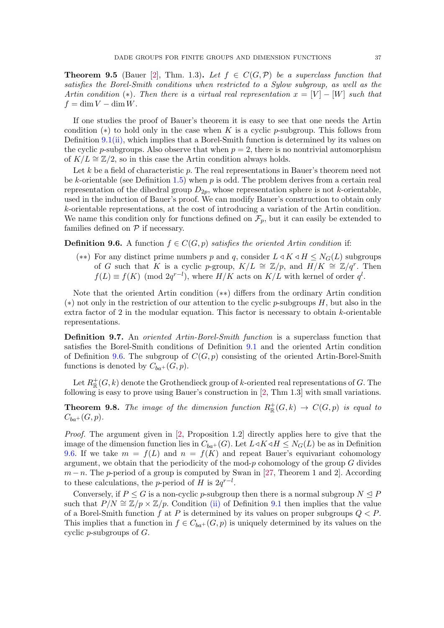<span id="page-36-2"></span>**Theorem 9.5** (Bauer [\[2\]](#page-38-0), Thm. 1.3). Let  $f \in C(G, \mathcal{P})$  be a superclass function that satisfies the Borel-Smith conditions when restricted to a Sylow subgroup, as well as the Artin condition (\*). Then there is a virtual real representation  $x = [V] - [W]$  such that  $f = \dim V - \dim W$ .

If one studies the proof of Bauer's theorem it is easy to see that one needs the Artin condition  $(*)$  to hold only in the case when K is a cyclic p-subgroup. This follows from Definition [9.1](#page-34-0)[\(ii\),](#page-34-2) which implies that a Borel-Smith function is determined by its values on the cyclic p-subgroups. Also observe that when  $p = 2$ , there is no nontrivial automorphism of  $K/L \cong \mathbb{Z}/2$ , so in this case the Artin condition always holds.

Let  $k$  be a field of characteristic  $p$ . The real representations in Bauer's theorem need not be k-orientable (see Definition [1.5\)](#page-3-1) when  $p$  is odd. The problem derives from a certain real representation of the dihedral group  $D_{2p}$ , whose representation sphere is not k-orientable, used in the induction of Bauer's proof. We can modify Bauer's construction to obtain only k-orientable representations, at the cost of introducing a variation of the Artin condition. We name this condition only for functions defined on  $\mathcal{F}_p$ , but it can easily be extended to families defined on  $P$  if necessary.

<span id="page-36-0"></span>**Definition 9.6.** A function  $f \in C(G, p)$  satisfies the oriented Artin condition if:

(\*\*) For any distinct prime numbers p and q, consider  $L \triangleleft K \triangleleft H \leq N_G(L)$  subgroups of G such that K is a cyclic p-group,  $K/L \cong \mathbb{Z}/p$ , and  $H/K \cong \mathbb{Z}/q^r$ . Then  $f(L) \equiv f(K) \pmod{2q^{r-l}}$ , where  $H/K$  acts on  $K/L$  with kernel of order  $q^l$ .

Note that the oriented Artin condition (∗∗) differs from the ordinary Artin condition  $(*)$  not only in the restriction of our attention to the cyclic p-subgroups H, but also in the extra factor of 2 in the modular equation. This factor is necessary to obtain  $k$ -orientable representations.

Definition 9.7. An oriented Artin-Borel-Smith function is a superclass function that satisfies the Borel-Smith conditions of Definition [9.1](#page-34-0) and the oriented Artin condition of Definition [9.6.](#page-36-0) The subgroup of  $C(G, p)$  consisting of the oriented Artin-Borel-Smith functions is denoted by  $C_{ba^+}(G, p)$ .

Let  $R_{\mathbb{R}}^{+}(G, k)$  denote the Grothendieck group of k-oriented real representations of G. The following is easy to prove using Bauer's construction in [\[2,](#page-38-0) Thm 1.3] with small variations.

<span id="page-36-1"></span>**Theorem 9.8.** The image of the dimension function  $R^+_{\mathbb{R}}(G,k) \to C(G,p)$  is equal to  $C_{ba^+}(G,p).$ 

Proof. The argument given in [\[2,](#page-38-0) Proposition 1.2] directly applies here to give that the image of the dimension function lies in  $C_{ba^+}(G)$ . Let  $L \triangleleft K \triangleleft H \leq N_G(L)$  be as in Definition [9.6.](#page-36-0) If we take  $m = f(L)$  and  $n = f(K)$  and repeat Bauer's equivariant cohomology argument, we obtain that the periodicity of the mod- $p$  cohomology of the group  $G$  divides  $m-n$ . The p-period of a group is computed by Swan in [\[27,](#page-39-28) Theorem 1 and 2]. According to these calculations, the *p*-period of H is  $2q^{r-l}$ .

Conversely, if  $P \leq G$  is a non-cyclic p-subgroup then there is a normal subgroup  $N \leq P$ such that  $P/N \cong \mathbb{Z}/p \times \mathbb{Z}/p$ . Condition [\(ii\)](#page-34-2) of Definition [9.1](#page-34-0) then implies that the value of a Borel-Smith function f at P is determined by its values on proper subgroups  $Q < P$ . This implies that a function in  $f \in C_{ba^+}(G, p)$  is uniquely determined by its values on the cyclic p-subgroups of G.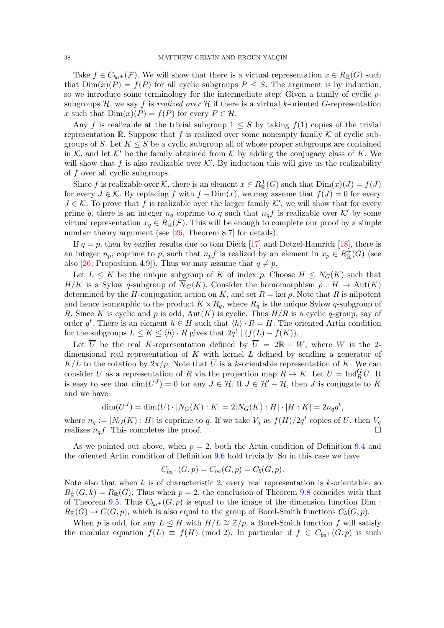Take  $f \in C_{ba^+}(\mathcal{F})$ . We will show that there is a virtual representation  $x \in R_{\mathbb{R}}(G)$  such that  $\text{Dim}(x)(P) = f(P)$  for all cyclic subgroups  $P \leq S$ . The argument is by induction, so we introduce some terminology for the intermediate step: Given a family of cyclic  $p$ subgroups H, we say f is realized over H if there is a virtual k-oriented G-representation x such that  $\text{Dim}(x)(P) = f(P)$  for every  $P \in \mathcal{H}$ .

Any f is realizable at the trivial subgroup  $1 \leq S$  by taking  $f(1)$  copies of the trivial representation R. Suppose that f is realized over some nonempty family  $K$  of cyclic subgroups of S. Let  $K \leq S$  be a cyclic subgroup all of whose proper subgroups are contained in K, and let  $K'$  be the family obtained from K by adding the conjugacy class of K. We will show that f is also realizable over  $K'$ . By induction this will give us the realizability of f over all cyclic subgroups.

Since f is realizable over K, there is an element  $x \in R_{\mathbb{R}}^+(G)$  such that  $\text{Dim}(x)(J) = f(J)$ for every  $J \in \mathcal{K}$ . By replacing f with  $f - \text{Dim}(x)$ , we may assume that  $f(J) = 0$  for every  $J \in \mathcal{K}$ . To prove that f is realizable over the larger family  $\mathcal{K}'$ , we will show that for every prime q, there is an integer  $n_q$  coprime to q such that  $n_q f$  is realizable over K' by some virtual representation  $x_q \in R_{\mathbb{R}}(\mathcal{F})$ . This will be enough to complete our proof by a simple number theory argument (see [\[26,](#page-39-27) Theorem 8.7] for details).

If  $q = p$ , then by earlier results due to tom Dieck [\[17\]](#page-39-25) and Dotzel-Hamrick [\[18\]](#page-39-26), there is an integer  $n_p$ , coprime to p, such that  $n_p f$  is realized by an element in  $x_p \in R^{\frac{1}{+}}_{\mathbb{R}}(G)$  (see also [\[26,](#page-39-27) Proposition 4.9]). Thus we may assume that  $q \neq p$ .

Let  $L \leq K$  be the unique subgroup of K of index p. Choose  $H \leq N_G(K)$  such that  $H/K$  is a Sylow q-subgroup of  $\overline{N}_G(K)$ . Consider the homomorphism  $\rho: H \to \text{Aut}(K)$ determined by the H-conjugation action on K, and set  $R = \text{ker }\rho$ . Note that R is nilpotent and hence isomorphic to the product  $K \times R_q$ , where  $R_q$  is the unique Sylow q-subgroup of R. Since K is cyclic and p is odd,  $Aut(K)$  is cyclic. Thus  $H/R$  is a cyclic q-group, say of order  $q^t$ . There is an element  $h \in H$  such that  $\langle h \rangle \cdot R = H$ . The oriented Artin condition for the subgroups  $L \leq K \leq \langle h \rangle \cdot R$  gives that  $2q^t \mid (f(L) - f(K))$ .

Let  $\overline{U}$  be the real K-representation defined by  $\overline{U} = 2\mathbb{R} - W$ , where W is the 2dimensional real representation of  $K$  with kernel  $L$  defined by sending a generator of K/L to the rotation by  $2\pi/p$ . Note that  $\overline{U}$  is a k-orientable representation of K. We can consider  $\overline{U}$  as a representation of R via the projection map  $R \to K$ . Let  $U = \text{Ind}_{R}^{G} \overline{U}$ . It is easy to see that  $\dim(U^J) = 0$  for any  $J \in \mathcal{H}$ . If  $J \in \mathcal{H}' - \mathcal{H}$ , then J is conjugate to K and we have

$$
\dim(U^J) = \dim(\overline{U}) \cdot |N_G(K):K| = 2|N_G(K):H| \cdot |H:K| = 2n_q q^t,
$$

where  $n_q := |N_G(K): H|$  is coprime to q. If we take  $V_q$  as  $f(H)/2q^t$  copies of U, then  $V_q$ realizes  $n_a f$ . This completes the proof.

As we pointed out above, when  $p = 2$ , both the Artin condition of Definition [9.4](#page-35-0) and the oriented Artin condition of Definition [9.6](#page-36-0) hold trivially. So in this case we have

$$
C_{ba^{+}}(G, p) = C_{ba}(G, p) = C_{b}(G, p).
$$

Note also that when  $k$  is of characteristic 2, every real representation is  $k$ -orientable, so  $R_{\mathbb{R}}^{+}(G, k) = R_{\mathbb{R}}(G)$ . Thus when  $p = 2$ , the conclusion of Theorem [9.8](#page-36-1) coincides with that of Theorem [9.5.](#page-36-2) Thus  $C_{ba}$ + $(G, p)$  is equal to the image of the dimension function Dim:  $R_{\mathbb{R}}(G) \to C(G, p)$ , which is also equal to the group of Borel-Smith functions  $C_b(G, p)$ .

When p is odd, for any  $L \leq H$  with  $H/L \cong \mathbb{Z}/p$ , a Borel-Smith function f will satisfy the modular equation  $f(L) \equiv f(H) \pmod{2}$ . In particular if  $f \in C_{ba}+(G, p)$  is such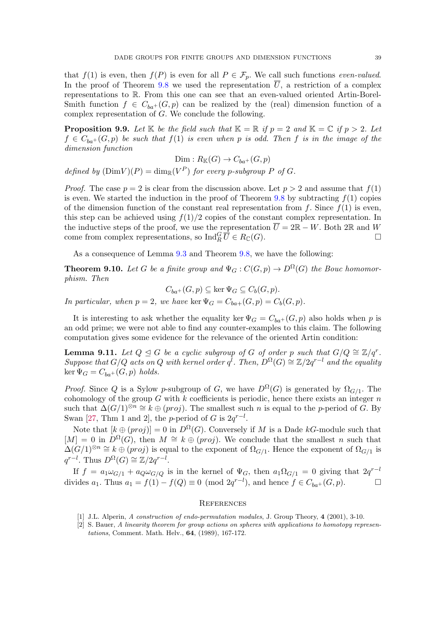that  $f(1)$  is even, then  $f(P)$  is even for all  $P \in \mathcal{F}_p$ . We call such functions *even-valued*. In the proof of Theorem [9.8](#page-36-1) we used the representation  $\overline{U}$ , a restriction of a complex representations to R. From this one can see that an even-valued oriented Artin-Borel-Smith function  $f \in C_{ba^+}(G, p)$  can be realized by the (real) dimension function of a complex representation of G. We conclude the following.

**Proposition 9.9.** Let K be the field such that  $\mathbb{K} = \mathbb{R}$  if  $p = 2$  and  $\mathbb{K} = \mathbb{C}$  if  $p > 2$ . Let  $f \in C_{ba+}(G, p)$  be such that  $f(1)$  is even when p is odd. Then f is in the image of the dimension function

$$
\text{Dim}: R_{\mathbb{K}}(G) \to C_{ba^+}(G, p)
$$

defined by  $(\text{Dim}V)(P) = \dim_{\mathbb{R}}(V^P)$  for every p-subgroup P of G.

*Proof.* The case  $p = 2$  is clear from the discussion above. Let  $p > 2$  and assume that  $f(1)$ is even. We started the induction in the proof of Theorem [9.8](#page-36-1) by subtracting  $f(1)$  copies of the dimension function of the constant real representation from f. Since  $f(1)$  is even, this step can be achieved using  $f(1)/2$  copies of the constant complex representation. In the inductive steps of the proof, we use the representation  $\overline{U} = 2\mathbb{R} - W$ . Both 2R and W come from complex representations, so  $\text{Ind}_{R}^{G} \overline{U} \in R_{\mathbb{C}}(G)$ .

As a consequence of Lemma  $9.3$  and Theorem  $9.8$ , we have the following:

**Theorem 9.10.** Let G be a finite group and  $\Psi_G : C(G, p) \to D^{\Omega}(G)$  the Bouc homomorphism. Then

 $C_{ba^+}(G, p) \subseteq \ker \Psi_G \subseteq C_b(G, p).$ 

In particular, when  $p = 2$ , we have ker  $\Psi_G = C_{ba+}(G, p) = C_b(G, p)$ .

It is interesting to ask whether the equality ker  $\Psi_G = C_{ba}+(G, p)$  also holds when p is an odd prime; we were not able to find any counter-examples to this claim. The following computation gives some evidence for the relevance of the oriented Artin condition:

<span id="page-38-1"></span>**Lemma 9.11.** Let  $Q \trianglelefteq G$  be a cyclic subgroup of G of order p such that  $G/Q \cong \mathbb{Z}/q^r$ . Suppose that  $G/Q$  acts on Q with kernel order  $q^l$ . Then,  $D^{\Omega}(G) \cong \mathbb{Z}/2q^{r-l}$  and the equality  $\ker \Psi_G = C_{ba^+}(G, p)$  holds.

*Proof.* Since Q is a Sylow p-subgroup of G, we have  $D^{\Omega}(G)$  is generated by  $\Omega_{G/1}$ . The cohomology of the group G with k coefficients is periodic, hence there exists an integer  $n$ such that  $\Delta(G/1)^{\otimes n} \cong k \oplus (proj)$ . The smallest such n is equal to the p-period of G. By Swan [\[27,](#page-39-28) Thm 1 and 2], the p-period of G is  $2q^{r-l}$ .

Note that  $[k \oplus (proj)] = 0$  in  $D^{\Omega}(G)$ . Conversely if M is a Dade kG-module such that  $[M] = 0$  in  $D^{\Omega}(\tilde{G})$ , then  $M \cong k \oplus (proj)$ . We conclude that the smallest n such that  $\Delta(G/1)^{\otimes n} \cong k \oplus (proj)$  is equal to the exponent of  $\Omega_{G/1}$ . Hence the exponent of  $\Omega_{G/1}$  is  $q^{r-l}$ . Thus  $D^{\Omega}(G) \cong \mathbb{Z}/2q^{r-l}$ .

If  $f = a_1 \omega_{G/1} + a_Q \omega_{G/Q}$  is in the kernel of  $\Psi_G$ , then  $a_1 \Omega_{G/1} = 0$  giving that  $2q^{r-l}$ divides  $a_1$ . Thus  $a_1 = f(1) - f(Q) \equiv 0 \pmod{2q^{r-l}}$ , and hence  $f \in C_{ba^+}(G, p)$ .

#### <span id="page-38-2"></span>**REFERENCES**

- <span id="page-38-3"></span>[1] J.L. Alperin, A construction of endo-permutation modules, J. Group Theory, 4 (2001), 3-10.
- <span id="page-38-0"></span>[2] S. Bauer, A linearity theorem for group actions on spheres with applications to homotopy representations, Comment. Math. Helv., 64, (1989), 167-172.